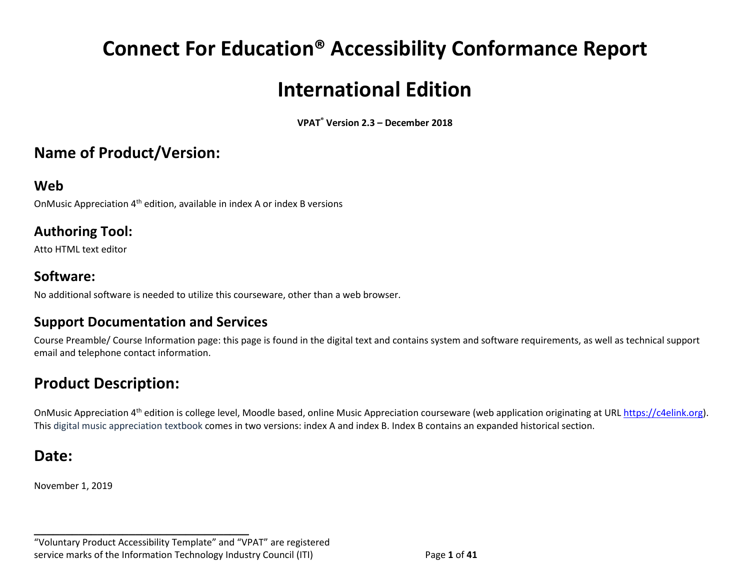# **Connect For Education® Accessibility Conformance Report International Edition**

**VPAT® Version 2.3 – December 2018** 

## **Name of Product/Version:**

#### **Web**

OnMusic Appreciation  $4<sup>th</sup>$  edition, available in index A or index B versions

#### **Authoring Tool:**

Atto HTML text editor

#### **Software:**

No additional software is needed to utilize this courseware, other than a web browser.

#### **Support Documentation and Services**

Course Preamble/ Course Information page: this page is found in the digital text and contains system and software requirements, as well as technical support email and telephone contact information.

## **Product Description:**

OnMusic Appreciation 4<sup>th</sup> edition is college level, Moodle based, online Music Appreciation courseware (web application originating at URL [https://c4elink.org\)](https://c4elink.org/). This digital music appreciation textbook comes in two versions: index A and index B. Index B contains an expanded historical section.

## **Date:**

November 1, 2019

"Voluntary Product Accessibility Template" and "VPAT" are registered service marks of the Information Technology Industry Council (ITI) Page **1** of **41**

**\_\_\_\_\_\_\_\_\_\_\_\_\_\_\_\_\_\_\_\_\_\_\_\_\_\_\_\_\_\_\_\_\_\_**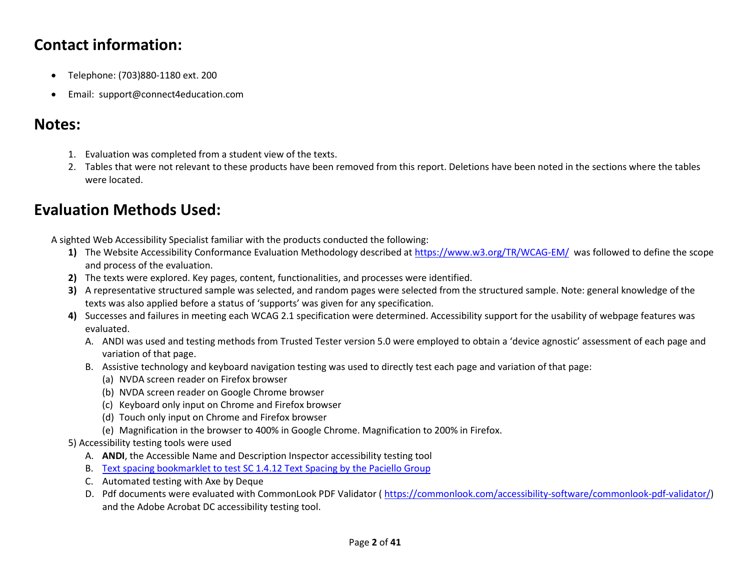## **Contact information:**

- Telephone: (703)880-1180 ext. 200
- Email: support@connect4education.com

## **Notes:**

- 1. Evaluation was completed from a student view of the texts.
- 2. Tables that were not relevant to these products have been removed from this report. Deletions have been noted in the sections where the tables were located.

## **Evaluation Methods Used:**

A sighted Web Accessibility Specialist familiar with the products conducted the following:

- **1)** The Website Accessibility Conformance Evaluation Methodology described at<https://www.w3.org/TR/WCAG-EM/>was followed to define the scope and process of the evaluation.
- **2)** The texts were explored. Key pages, content, functionalities, and processes were identified.
- **3)** A representative structured sample was selected, and random pages were selected from the structured sample. Note: general knowledge of the texts was also applied before a status of 'supports' was given for any specification.
- **4)** Successes and failures in meeting each WCAG 2.1 specification were determined. Accessibility support for the usability of webpage features was evaluated.
	- A. ANDI was used and testing methods from Trusted Tester version 5.0 were employed to obtain a 'device agnostic' assessment of each page and variation of that page.
	- B. Assistive technology and keyboard navigation testing was used to directly test each page and variation of that page:
		- (a) NVDA screen reader on Firefox browser
		- (b) NVDA screen reader on Google Chrome browser
		- (c) Keyboard only input on Chrome and Firefox browser
		- (d) Touch only input on Chrome and Firefox browser
		- (e) Magnification in the browser to 400% in Google Chrome. Magnification to 200% in Firefox.

#### 5) Accessibility testing tools were used

- A. **ANDI**, the Accessible Name and Description Inspector accessibility testing tool
- B. [Text spacing bookmarklet to test SC 1.4.12 Text Spacing by the Paciello Group](https://developer.paciellogroup.com/blog/2018/05/short-note-on-getting-spaced-out-with-sc-1-4-12-text-spacing/)
- C. Automated testing with Axe by Deque
- D. Pdf documents were evaluated with CommonLook PDF Validator ( [https://commonlook.com/accessibility-software/commonlook-pdf-validator/\)](https://commonlook.com/accessibility-software/commonlook-pdf-validator/) and the Adobe Acrobat DC accessibility testing tool.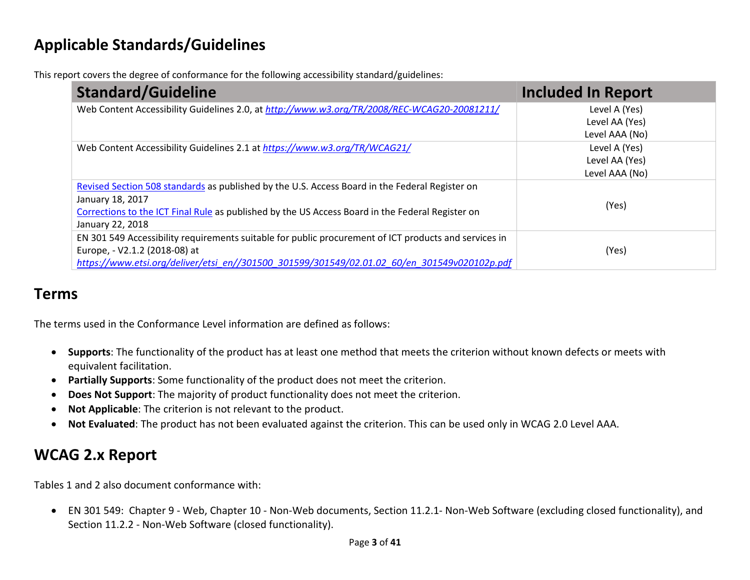## **Applicable Standards/Guidelines**

This report covers the degree of conformance for the following accessibility standard/guidelines:

| <b>Standard/Guideline</b>                                                                             | <b>Included In Report</b> |
|-------------------------------------------------------------------------------------------------------|---------------------------|
| Web Content Accessibility Guidelines 2.0, at http://www.w3.org/TR/2008/REC-WCAG20-20081211/           | Level A (Yes)             |
|                                                                                                       | Level AA (Yes)            |
|                                                                                                       | Level AAA (No)            |
| Web Content Accessibility Guidelines 2.1 at https://www.w3.org/TR/WCAG21/                             | Level A (Yes)             |
|                                                                                                       | Level AA (Yes)            |
|                                                                                                       | Level AAA (No)            |
| Revised Section 508 standards as published by the U.S. Access Board in the Federal Register on        |                           |
| January 18, 2017                                                                                      | (Yes)                     |
| Corrections to the ICT Final Rule as published by the US Access Board in the Federal Register on      |                           |
| January 22, 2018                                                                                      |                           |
| EN 301 549 Accessibility requirements suitable for public procurement of ICT products and services in |                           |
| Europe, - V2.1.2 (2018-08) at                                                                         | (Yes)                     |
| https://www.etsi.org/deliver/etsi_en//301500_301599/301549/02.01.02_60/en_301549v020102p.pdf          |                           |

### **Terms**

The terms used in the Conformance Level information are defined as follows:

- **Supports**: The functionality of the product has at least one method that meets the criterion without known defects or meets with equivalent facilitation.
- **Partially Supports**: Some functionality of the product does not meet the criterion.
- **Does Not Support**: The majority of product functionality does not meet the criterion.
- **Not Applicable**: The criterion is not relevant to the product.
- **Not Evaluated**: The product has not been evaluated against the criterion. This can be used only in WCAG 2.0 Level AAA.

## **WCAG 2.x Report**

Tables 1 and 2 also document conformance with:

• EN 301 549: Chapter 9 - Web, Chapter 10 - Non-Web documents, Section 11.2.1- Non-Web Software (excluding closed functionality), and Section 11.2.2 - Non-Web Software (closed functionality).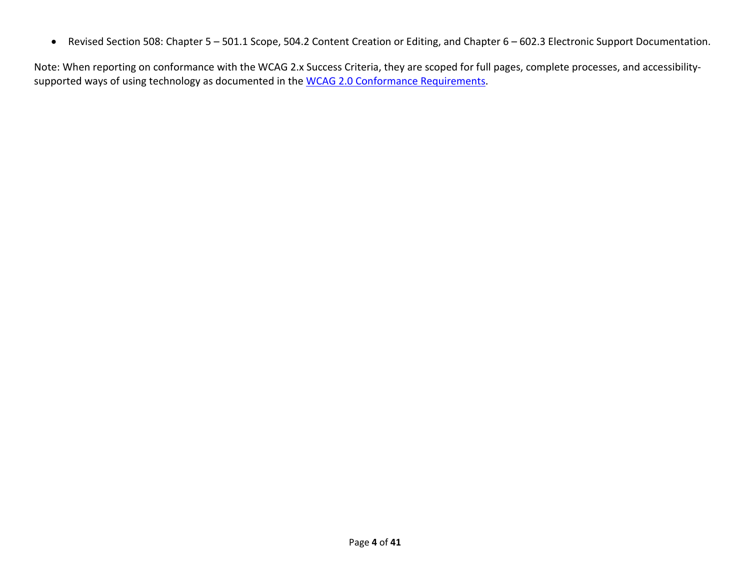• Revised Section 508: Chapter 5 – 501.1 Scope, 504.2 Content Creation or Editing, and Chapter 6 – 602.3 Electronic Support Documentation.

Note: When reporting on conformance with the WCAG 2.x Success Criteria, they are scoped for full pages, complete processes, and accessibility-supported ways of using technology as documented in the [WCAG 2.0 Conformance Requirements.](https://www.w3.org/TR/WCAG20/#conformance-reqs)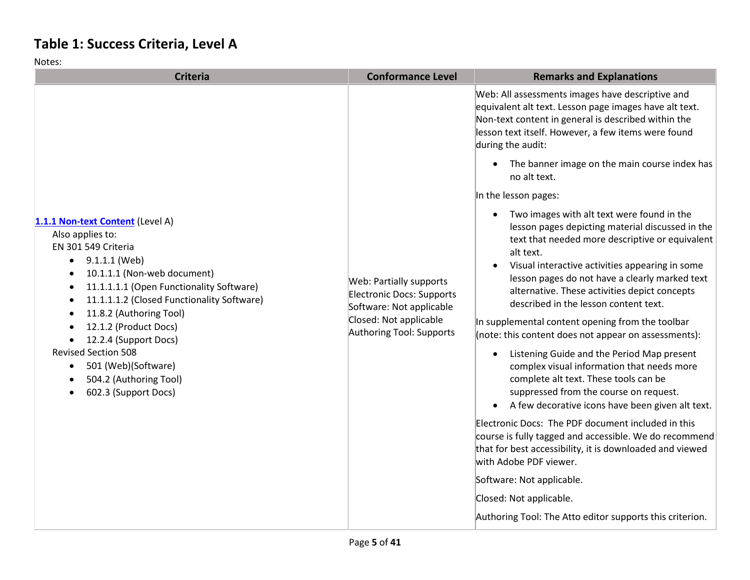## **Table 1: Success Criteria, Level A**

| <b>Criteria</b>                                                                                                                                                                                                                                                                                                                                                                                                                                               | <b>Conformance Level</b>                                                                                                                      | <b>Remarks and Explanations</b>                                                                                                                                                                                                                                                                                                                                              |
|---------------------------------------------------------------------------------------------------------------------------------------------------------------------------------------------------------------------------------------------------------------------------------------------------------------------------------------------------------------------------------------------------------------------------------------------------------------|-----------------------------------------------------------------------------------------------------------------------------------------------|------------------------------------------------------------------------------------------------------------------------------------------------------------------------------------------------------------------------------------------------------------------------------------------------------------------------------------------------------------------------------|
|                                                                                                                                                                                                                                                                                                                                                                                                                                                               |                                                                                                                                               | Web: All assessments images have descriptive and<br>equivalent alt text. Lesson page images have alt text.<br>Non-text content in general is described within the<br>lesson text itself. However, a few items were found<br>during the audit:                                                                                                                                |
|                                                                                                                                                                                                                                                                                                                                                                                                                                                               |                                                                                                                                               | • The banner image on the main course index has<br>no alt text.                                                                                                                                                                                                                                                                                                              |
|                                                                                                                                                                                                                                                                                                                                                                                                                                                               |                                                                                                                                               | In the lesson pages:                                                                                                                                                                                                                                                                                                                                                         |
| 1.1.1 Non-text Content (Level A)<br>Also applies to:<br>EN 301 549 Criteria<br>9.1.1.1 (Web)<br>$\bullet$<br>10.1.1.1 (Non-web document)<br>$\bullet$<br>11.1.1.1.1 (Open Functionality Software)<br>$\bullet$<br>11.1.1.1.2 (Closed Functionality Software)<br>11.8.2 (Authoring Tool)<br>12.1.2 (Product Docs)<br>12.2.4 (Support Docs)<br><b>Revised Section 508</b><br>501 (Web)(Software)<br>$\bullet$<br>504.2 (Authoring Tool)<br>602.3 (Support Docs) | Web: Partially supports<br><b>Electronic Docs: Supports</b><br>Software: Not applicable<br>Closed: Not applicable<br>Authoring Tool: Supports | • Two images with alt text were found in the<br>lesson pages depicting material discussed in the<br>text that needed more descriptive or equivalent<br>alt text.<br>Visual interactive activities appearing in some<br>$\bullet$<br>lesson pages do not have a clearly marked text<br>alternative. These activities depict concepts<br>described in the lesson content text. |
|                                                                                                                                                                                                                                                                                                                                                                                                                                                               |                                                                                                                                               | In supplemental content opening from the toolbar<br>(note: this content does not appear on assessments):                                                                                                                                                                                                                                                                     |
|                                                                                                                                                                                                                                                                                                                                                                                                                                                               |                                                                                                                                               | Listening Guide and the Period Map present<br>$\bullet$<br>complex visual information that needs more<br>complete alt text. These tools can be<br>suppressed from the course on request.<br>A few decorative icons have been given alt text.                                                                                                                                 |
|                                                                                                                                                                                                                                                                                                                                                                                                                                                               |                                                                                                                                               | Electronic Docs: The PDF document included in this<br>course is fully tagged and accessible. We do recommend<br>that for best accessibility, it is downloaded and viewed<br>with Adobe PDF viewer.                                                                                                                                                                           |
|                                                                                                                                                                                                                                                                                                                                                                                                                                                               |                                                                                                                                               | Software: Not applicable.                                                                                                                                                                                                                                                                                                                                                    |
|                                                                                                                                                                                                                                                                                                                                                                                                                                                               |                                                                                                                                               | Closed: Not applicable.                                                                                                                                                                                                                                                                                                                                                      |
|                                                                                                                                                                                                                                                                                                                                                                                                                                                               |                                                                                                                                               | Authoring Tool: The Atto editor supports this criterion.                                                                                                                                                                                                                                                                                                                     |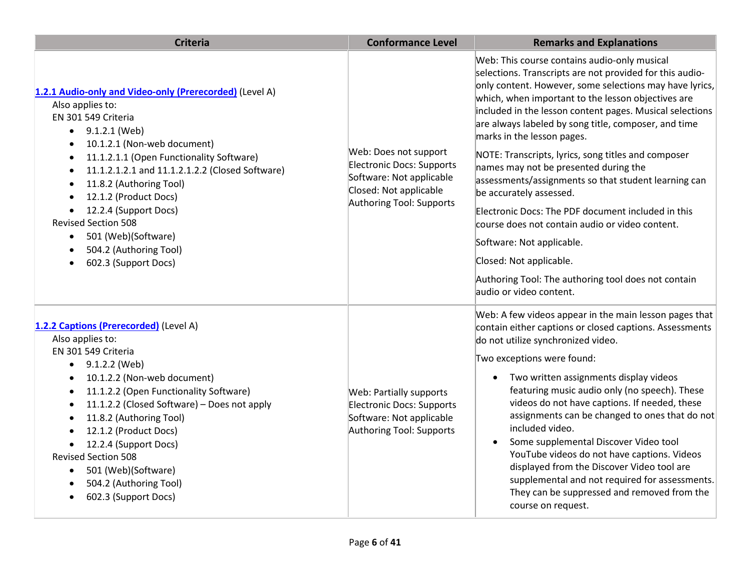| <b>Criteria</b>                                                                                                                                                                                                                                                                                                                                                                                                                                                                                                                                            | <b>Conformance Level</b>                                                                                                             | <b>Remarks and Explanations</b>                                                                                                                                                                                                                                                                                                                                                                                                                                                                                                                                                                                                                                                                                                                                                                                   |
|------------------------------------------------------------------------------------------------------------------------------------------------------------------------------------------------------------------------------------------------------------------------------------------------------------------------------------------------------------------------------------------------------------------------------------------------------------------------------------------------------------------------------------------------------------|--------------------------------------------------------------------------------------------------------------------------------------|-------------------------------------------------------------------------------------------------------------------------------------------------------------------------------------------------------------------------------------------------------------------------------------------------------------------------------------------------------------------------------------------------------------------------------------------------------------------------------------------------------------------------------------------------------------------------------------------------------------------------------------------------------------------------------------------------------------------------------------------------------------------------------------------------------------------|
| 1.2.1 Audio-only and Video-only (Prerecorded) (Level A)<br>Also applies to:<br>EN 301 549 Criteria<br>9.1.2.1 (Web)<br>$\bullet$<br>10.1.2.1 (Non-web document)<br>$\bullet$<br>11.1.2.1.1 (Open Functionality Software)<br>$\bullet$<br>11.1.2.1.2.1 and 11.1.2.1.2.2 (Closed Software)<br>$\bullet$<br>11.8.2 (Authoring Tool)<br>$\bullet$<br>12.1.2 (Product Docs)<br>$\bullet$<br>12.2.4 (Support Docs)<br>$\bullet$<br><b>Revised Section 508</b><br>501 (Web)(Software)<br>$\bullet$<br>504.2 (Authoring Tool)<br>$\bullet$<br>602.3 (Support Docs) | Web: Does not support<br>Electronic Docs: Supports<br>Software: Not applicable<br>Closed: Not applicable<br>Authoring Tool: Supports | Web: This course contains audio-only musical<br>selections. Transcripts are not provided for this audio-<br>only content. However, some selections may have lyrics,<br>which, when important to the lesson objectives are<br>included in the lesson content pages. Musical selections<br>are always labeled by song title, composer, and time<br>marks in the lesson pages.<br>NOTE: Transcripts, lyrics, song titles and composer<br>names may not be presented during the<br>assessments/assignments so that student learning can<br>be accurately assessed.<br>Electronic Docs: The PDF document included in this<br>course does not contain audio or video content.<br>Software: Not applicable.<br>Closed: Not applicable.<br>Authoring Tool: The authoring tool does not contain<br>audio or video content. |
| 1.2.2 Captions (Prerecorded) (Level A)<br>Also applies to:<br>EN 301 549 Criteria<br>9.1.2.2 (Web)<br>$\bullet$<br>10.1.2.2 (Non-web document)<br>$\bullet$<br>11.1.2.2 (Open Functionality Software)<br>$\bullet$<br>11.1.2.2 (Closed Software) - Does not apply<br>$\bullet$<br>11.8.2 (Authoring Tool)<br>$\bullet$<br>12.1.2 (Product Docs)<br>$\bullet$<br>12.2.4 (Support Docs)<br><b>Revised Section 508</b><br>501 (Web)(Software)<br>504.2 (Authoring Tool)<br>602.3 (Support Docs)                                                               | Web: Partially supports<br><b>Electronic Docs: Supports</b><br>Software: Not applicable<br>Authoring Tool: Supports                  | Web: A few videos appear in the main lesson pages that<br>contain either captions or closed captions. Assessments<br>do not utilize synchronized video.<br>Two exceptions were found:<br>Two written assignments display videos<br>featuring music audio only (no speech). These<br>videos do not have captions. If needed, these<br>assignments can be changed to ones that do not<br>included video.<br>Some supplemental Discover Video tool<br>YouTube videos do not have captions. Videos<br>displayed from the Discover Video tool are<br>supplemental and not required for assessments.<br>They can be suppressed and removed from the<br>course on request.                                                                                                                                               |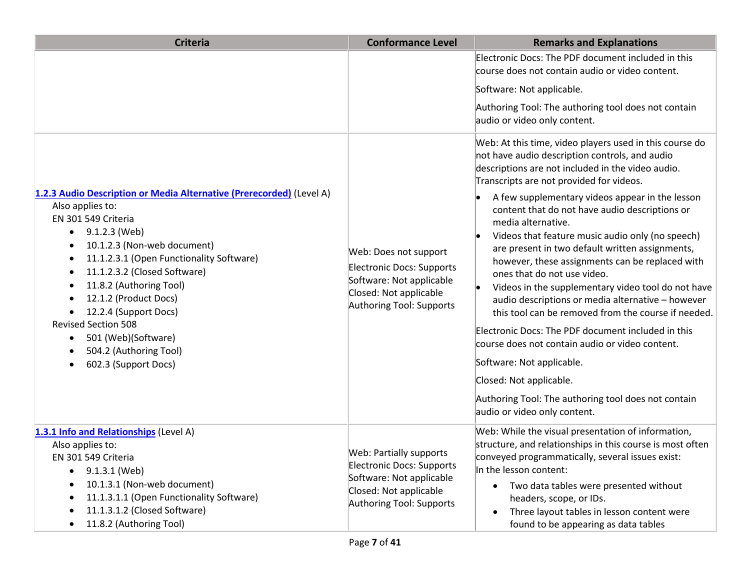| <b>Criteria</b>                                                                                                                                                                                                                                                                                                                                                                                                                                        | <b>Conformance Level</b>                                                                                                                      | <b>Remarks and Explanations</b>                                                                                                                                                                                                                                                                                                                                                                                                                                                                                                                                                                                                                                                                                                                                                                                                                                   |
|--------------------------------------------------------------------------------------------------------------------------------------------------------------------------------------------------------------------------------------------------------------------------------------------------------------------------------------------------------------------------------------------------------------------------------------------------------|-----------------------------------------------------------------------------------------------------------------------------------------------|-------------------------------------------------------------------------------------------------------------------------------------------------------------------------------------------------------------------------------------------------------------------------------------------------------------------------------------------------------------------------------------------------------------------------------------------------------------------------------------------------------------------------------------------------------------------------------------------------------------------------------------------------------------------------------------------------------------------------------------------------------------------------------------------------------------------------------------------------------------------|
|                                                                                                                                                                                                                                                                                                                                                                                                                                                        |                                                                                                                                               | Electronic Docs: The PDF document included in this<br>course does not contain audio or video content.                                                                                                                                                                                                                                                                                                                                                                                                                                                                                                                                                                                                                                                                                                                                                             |
|                                                                                                                                                                                                                                                                                                                                                                                                                                                        |                                                                                                                                               | Software: Not applicable.                                                                                                                                                                                                                                                                                                                                                                                                                                                                                                                                                                                                                                                                                                                                                                                                                                         |
|                                                                                                                                                                                                                                                                                                                                                                                                                                                        |                                                                                                                                               | Authoring Tool: The authoring tool does not contain<br>audio or video only content.                                                                                                                                                                                                                                                                                                                                                                                                                                                                                                                                                                                                                                                                                                                                                                               |
| 1.2.3 Audio Description or Media Alternative (Prerecorded) (Level A)<br>Also applies to:<br>EN 301 549 Criteria<br>9.1.2.3 (Web)<br>$\bullet$<br>10.1.2.3 (Non-web document)<br>11.1.2.3.1 (Open Functionality Software)<br>11.1.2.3.2 (Closed Software)<br>11.8.2 (Authoring Tool)<br>٠<br>12.1.2 (Product Docs)<br>12.2.4 (Support Docs)<br><b>Revised Section 508</b><br>501 (Web)(Software)<br>٠<br>504.2 (Authoring Tool)<br>602.3 (Support Docs) | Web: Does not support<br>Electronic Docs: Supports<br>Software: Not applicable<br>Closed: Not applicable<br>Authoring Tool: Supports          | Web: At this time, video players used in this course do<br>not have audio description controls, and audio<br>descriptions are not included in the video audio.<br>Transcripts are not provided for videos.<br>A few supplementary videos appear in the lesson<br>content that do not have audio descriptions or<br>media alternative.<br>Videos that feature music audio only (no speech)<br>are present in two default written assignments,<br>however, these assignments can be replaced with<br>ones that do not use video.<br>Videos in the supplementary video tool do not have<br>audio descriptions or media alternative - however<br>this tool can be removed from the course if needed.<br>Electronic Docs: The PDF document included in this<br>course does not contain audio or video content.<br>Software: Not applicable.<br>Closed: Not applicable. |
|                                                                                                                                                                                                                                                                                                                                                                                                                                                        |                                                                                                                                               | Authoring Tool: The authoring tool does not contain<br>audio or video only content.                                                                                                                                                                                                                                                                                                                                                                                                                                                                                                                                                                                                                                                                                                                                                                               |
| 1.3.1 Info and Relationships (Level A)<br>Also applies to:<br>EN 301 549 Criteria<br>9.1.3.1 (Web)<br>$\bullet$<br>10.1.3.1 (Non-web document)<br>$\bullet$<br>11.1.3.1.1 (Open Functionality Software)<br>11.1.3.1.2 (Closed Software)<br>11.8.2 (Authoring Tool)<br>٠                                                                                                                                                                                | <b>Web: Partially supports</b><br>Electronic Docs: Supports<br>Software: Not applicable<br>Closed: Not applicable<br>Authoring Tool: Supports | Web: While the visual presentation of information,<br>structure, and relationships in this course is most often<br>conveyed programmatically, several issues exist:<br>In the lesson content:<br>Two data tables were presented without<br>headers, scope, or IDs.<br>Three layout tables in lesson content were<br>$\bullet$<br>found to be appearing as data tables                                                                                                                                                                                                                                                                                                                                                                                                                                                                                             |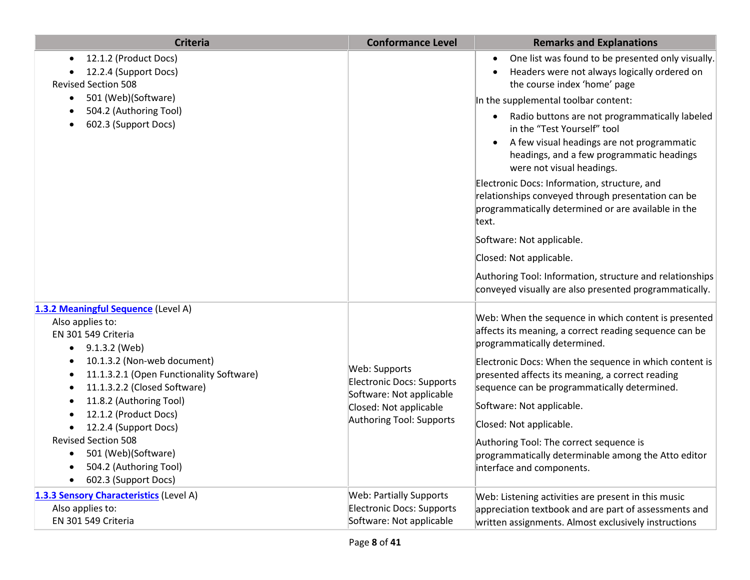| <b>Criteria</b>                                                                                              | <b>Conformance Level</b>                                                      | <b>Remarks and Explanations</b>                                                                                                                                                                                                 |
|--------------------------------------------------------------------------------------------------------------|-------------------------------------------------------------------------------|---------------------------------------------------------------------------------------------------------------------------------------------------------------------------------------------------------------------------------|
| 12.1.2 (Product Docs)<br>$\bullet$<br>12.2.4 (Support Docs)<br><b>Revised Section 508</b>                    |                                                                               | One list was found to be presented only visually.<br>$\bullet$<br>Headers were not always logically ordered on<br>$\bullet$<br>the course index 'home' page                                                                     |
| 501 (Web)(Software)<br>$\bullet$                                                                             |                                                                               | In the supplemental toolbar content:                                                                                                                                                                                            |
| 504.2 (Authoring Tool)<br>602.3 (Support Docs)                                                               |                                                                               | Radio buttons are not programmatically labeled<br>$\bullet$<br>in the "Test Yourself" tool<br>A few visual headings are not programmatic<br>$\bullet$<br>headings, and a few programmatic headings<br>were not visual headings. |
|                                                                                                              |                                                                               | Electronic Docs: Information, structure, and<br>relationships conveyed through presentation can be<br>programmatically determined or are available in the<br>text.                                                              |
|                                                                                                              |                                                                               | Software: Not applicable.                                                                                                                                                                                                       |
|                                                                                                              |                                                                               | Closed: Not applicable.                                                                                                                                                                                                         |
|                                                                                                              |                                                                               | Authoring Tool: Information, structure and relationships<br>conveyed visually are also presented programmatically.                                                                                                              |
| 1.3.2 Meaningful Sequence (Level A)<br>Also applies to:<br>EN 301 549 Criteria<br>9.1.3.2 (Web)<br>$\bullet$ |                                                                               | Web: When the sequence in which content is presented<br>affects its meaning, a correct reading sequence can be<br>programmatically determined.                                                                                  |
| 10.1.3.2 (Non-web document)<br>11.1.3.2.1 (Open Functionality Software)<br>11.1.3.2.2 (Closed Software)      | Web: Supports<br><b>Electronic Docs: Supports</b><br>Software: Not applicable | Electronic Docs: When the sequence in which content is<br>presented affects its meaning, a correct reading<br>sequence can be programmatically determined.                                                                      |
| 11.8.2 (Authoring Tool)<br>12.1.2 (Product Docs)                                                             | Closed: Not applicable                                                        | Software: Not applicable.                                                                                                                                                                                                       |
| 12.2.4 (Support Docs)                                                                                        | Authoring Tool: Supports                                                      | Closed: Not applicable.                                                                                                                                                                                                         |
| <b>Revised Section 508</b>                                                                                   |                                                                               | Authoring Tool: The correct sequence is                                                                                                                                                                                         |
| 501 (Web)(Software)<br>504.2 (Authoring Tool)<br>602.3 (Support Docs)                                        |                                                                               | programmatically determinable among the Atto editor<br>interface and components.                                                                                                                                                |
| 1.3.3 Sensory Characteristics (Level A)                                                                      | <b>Web: Partially Supports</b>                                                | Web: Listening activities are present in this music                                                                                                                                                                             |
| Also applies to:<br>EN 301 549 Criteria                                                                      | Electronic Docs: Supports<br>Software: Not applicable                         | appreciation textbook and are part of assessments and<br>written assignments. Almost exclusively instructions                                                                                                                   |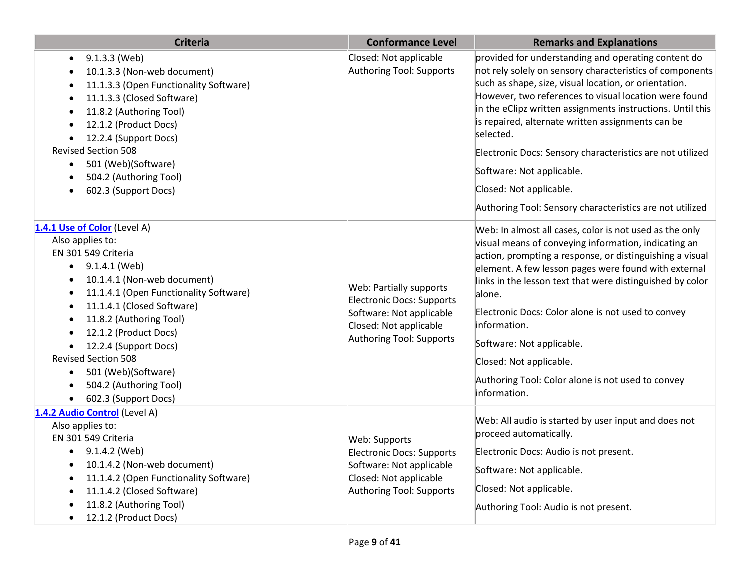| Criteria                                                                                                                                                                                                                                                                                                                                                                                                                                                                                    | <b>Conformance Level</b>                                                                                                               | <b>Remarks and Explanations</b>                                                                                                                                                                                                                                                                                                                                                                                                                                                                                                                    |
|---------------------------------------------------------------------------------------------------------------------------------------------------------------------------------------------------------------------------------------------------------------------------------------------------------------------------------------------------------------------------------------------------------------------------------------------------------------------------------------------|----------------------------------------------------------------------------------------------------------------------------------------|----------------------------------------------------------------------------------------------------------------------------------------------------------------------------------------------------------------------------------------------------------------------------------------------------------------------------------------------------------------------------------------------------------------------------------------------------------------------------------------------------------------------------------------------------|
| 9.1.3.3 (Web)<br>$\bullet$<br>10.1.3.3 (Non-web document)<br>$\bullet$<br>11.1.3.3 (Open Functionality Software)<br>$\bullet$<br>11.1.3.3 (Closed Software)<br>$\bullet$<br>11.8.2 (Authoring Tool)<br>12.1.2 (Product Docs)<br>12.2.4 (Support Docs)<br><b>Revised Section 508</b><br>501 (Web)(Software)<br>$\bullet$<br>504.2 (Authoring Tool)<br>602.3 (Support Docs)                                                                                                                   | Closed: Not applicable<br>Authoring Tool: Supports                                                                                     | provided for understanding and operating content do<br>not rely solely on sensory characteristics of components<br>such as shape, size, visual location, or orientation.<br>However, two references to visual location were found<br>in the eClipz written assignments instructions. Until this<br>is repaired, alternate written assignments can be<br>selected.<br>Electronic Docs: Sensory characteristics are not utilized<br>Software: Not applicable.<br>Closed: Not applicable.<br>Authoring Tool: Sensory characteristics are not utilized |
| 1.4.1 Use of Color (Level A)<br>Also applies to:<br>EN 301 549 Criteria<br>9.1.4.1 (Web)<br>$\bullet$<br>10.1.4.1 (Non-web document)<br>$\bullet$<br>11.1.4.1 (Open Functionality Software)<br>$\bullet$<br>11.1.4.1 (Closed Software)<br>$\bullet$<br>11.8.2 (Authoring Tool)<br>$\bullet$<br>12.1.2 (Product Docs)<br>12.2.4 (Support Docs)<br>$\bullet$<br><b>Revised Section 508</b><br>501 (Web)(Software)<br>$\bullet$<br>504.2 (Authoring Tool)<br>602.3 (Support Docs)<br>$\bullet$ | Web: Partially supports<br>Electronic Docs: Supports<br>Software: Not applicable<br>Closed: Not applicable<br>Authoring Tool: Supports | Web: In almost all cases, color is not used as the only<br>visual means of conveying information, indicating an<br>action, prompting a response, or distinguishing a visual<br>element. A few lesson pages were found with external<br>links in the lesson text that were distinguished by color<br>alone.<br>Electronic Docs: Color alone is not used to convey<br>information.<br>Software: Not applicable.<br>Closed: Not applicable.<br>Authoring Tool: Color alone is not used to convey<br>information.                                      |
| 1.4.2 Audio Control (Level A)<br>Also applies to:<br>EN 301 549 Criteria<br>$\bullet$ 9.1.4.2 (Web)<br>10.1.4.2 (Non-web document)<br>$\bullet$<br>11.1.4.2 (Open Functionality Software)<br>$\bullet$<br>11.1.4.2 (Closed Software)<br>11.8.2 (Authoring Tool)<br>12.1.2 (Product Docs)<br>$\bullet$                                                                                                                                                                                       | Web: Supports<br>Electronic Docs: Supports<br>Software: Not applicable<br>Closed: Not applicable<br>Authoring Tool: Supports           | Web: All audio is started by user input and does not<br>proceed automatically.<br>Electronic Docs: Audio is not present.<br>Software: Not applicable.<br>Closed: Not applicable.<br>Authoring Tool: Audio is not present.                                                                                                                                                                                                                                                                                                                          |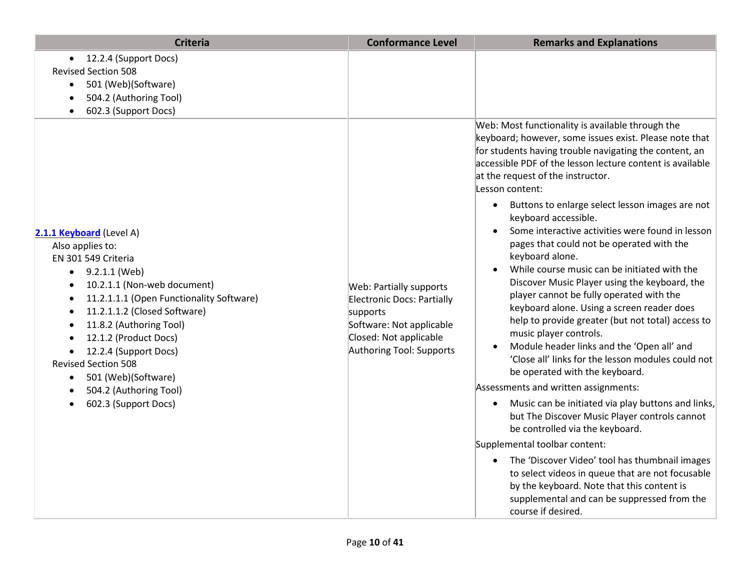| <b>Criteria</b>                                                                                                                                                                                                                                                                                                                                                                                                                                                                             | <b>Conformance Level</b>                                                                                                                                   | <b>Remarks and Explanations</b>                                                                                                                                                                                                                                                                                                                                                                                                                                                                                                                                                                                                                                                                                                                                                                                                                                                                                                                                                                                                                                                                                                                                                                                                                                                                                      |
|---------------------------------------------------------------------------------------------------------------------------------------------------------------------------------------------------------------------------------------------------------------------------------------------------------------------------------------------------------------------------------------------------------------------------------------------------------------------------------------------|------------------------------------------------------------------------------------------------------------------------------------------------------------|----------------------------------------------------------------------------------------------------------------------------------------------------------------------------------------------------------------------------------------------------------------------------------------------------------------------------------------------------------------------------------------------------------------------------------------------------------------------------------------------------------------------------------------------------------------------------------------------------------------------------------------------------------------------------------------------------------------------------------------------------------------------------------------------------------------------------------------------------------------------------------------------------------------------------------------------------------------------------------------------------------------------------------------------------------------------------------------------------------------------------------------------------------------------------------------------------------------------------------------------------------------------------------------------------------------------|
| 12.2.4 (Support Docs)<br>$\bullet$<br><b>Revised Section 508</b><br>501 (Web)(Software)<br>$\bullet$<br>504.2 (Authoring Tool)<br>$\bullet$<br>602.3 (Support Docs)                                                                                                                                                                                                                                                                                                                         |                                                                                                                                                            | Web: Most functionality is available through the<br>keyboard; however, some issues exist. Please note that                                                                                                                                                                                                                                                                                                                                                                                                                                                                                                                                                                                                                                                                                                                                                                                                                                                                                                                                                                                                                                                                                                                                                                                                           |
| 2.1.1 Keyboard (Level A)<br>Also applies to:<br>EN 301 549 Criteria<br>9.2.1.1 (Web)<br>$\bullet$<br>10.2.1.1 (Non-web document)<br>$\bullet$<br>11.2.1.1.1 (Open Functionality Software)<br>$\bullet$<br>11.2.1.1.2 (Closed Software)<br>$\bullet$<br>11.8.2 (Authoring Tool)<br>$\bullet$<br>12.1.2 (Product Docs)<br>12.2.4 (Support Docs)<br>$\bullet$<br><b>Revised Section 508</b><br>501 (Web)(Software)<br>$\bullet$<br>504.2 (Authoring Tool)<br>$\bullet$<br>602.3 (Support Docs) | Web: Partially supports<br><b>Electronic Docs: Partially</b><br>supports<br>Software: Not applicable<br>Closed: Not applicable<br>Authoring Tool: Supports | for students having trouble navigating the content, an<br>accessible PDF of the lesson lecture content is available<br>at the request of the instructor.<br>Lesson content:<br>Buttons to enlarge select lesson images are not<br>$\bullet$<br>keyboard accessible.<br>Some interactive activities were found in lesson<br>$\bullet$<br>pages that could not be operated with the<br>keyboard alone.<br>While course music can be initiated with the<br>$\bullet$<br>Discover Music Player using the keyboard, the<br>player cannot be fully operated with the<br>keyboard alone. Using a screen reader does<br>help to provide greater (but not total) access to<br>music player controls.<br>Module header links and the 'Open all' and<br>$\bullet$<br>'Close all' links for the lesson modules could not<br>be operated with the keyboard.<br>Assessments and written assignments:<br>Music can be initiated via play buttons and links,<br>$\bullet$<br>but The Discover Music Player controls cannot<br>be controlled via the keyboard.<br>Supplemental toolbar content:<br>The 'Discover Video' tool has thumbnail images<br>$\bullet$<br>to select videos in queue that are not focusable<br>by the keyboard. Note that this content is<br>supplemental and can be suppressed from the<br>course if desired. |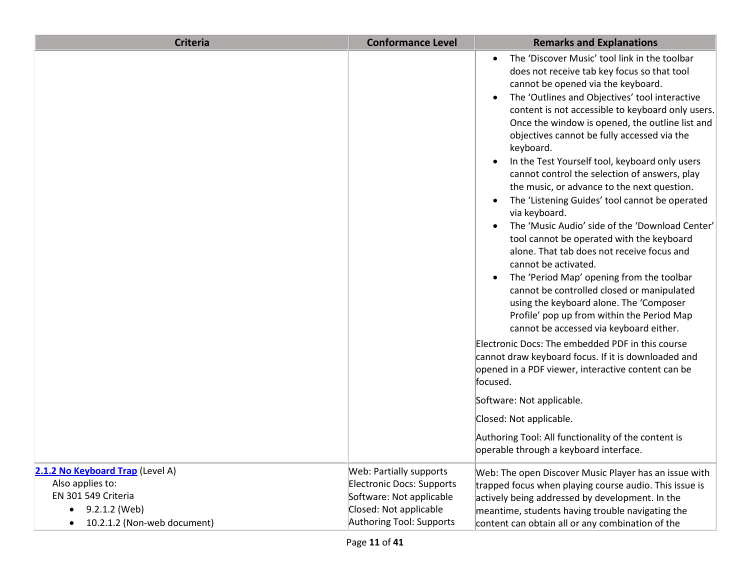| <b>Criteria</b>                                                             | <b>Conformance Level</b>                                                         | <b>Remarks and Explanations</b>                                                                                                                                                                                                                                                                                                                                                                                                                                                                                                                                                                                                                                                                                                                                                                                                                                                                                                                                                                                                                                                                                                                                                                                                                                                                                                                                                                        |
|-----------------------------------------------------------------------------|----------------------------------------------------------------------------------|--------------------------------------------------------------------------------------------------------------------------------------------------------------------------------------------------------------------------------------------------------------------------------------------------------------------------------------------------------------------------------------------------------------------------------------------------------------------------------------------------------------------------------------------------------------------------------------------------------------------------------------------------------------------------------------------------------------------------------------------------------------------------------------------------------------------------------------------------------------------------------------------------------------------------------------------------------------------------------------------------------------------------------------------------------------------------------------------------------------------------------------------------------------------------------------------------------------------------------------------------------------------------------------------------------------------------------------------------------------------------------------------------------|
|                                                                             |                                                                                  | The 'Discover Music' tool link in the toolbar<br>$\bullet$<br>does not receive tab key focus so that tool<br>cannot be opened via the keyboard.<br>The 'Outlines and Objectives' tool interactive<br>$\bullet$<br>content is not accessible to keyboard only users.<br>Once the window is opened, the outline list and<br>objectives cannot be fully accessed via the<br>keyboard.<br>In the Test Yourself tool, keyboard only users<br>$\bullet$<br>cannot control the selection of answers, play<br>the music, or advance to the next question.<br>The 'Listening Guides' tool cannot be operated<br>$\bullet$<br>via keyboard.<br>The 'Music Audio' side of the 'Download Center'<br>$\bullet$<br>tool cannot be operated with the keyboard<br>alone. That tab does not receive focus and<br>cannot be activated.<br>The 'Period Map' opening from the toolbar<br>$\bullet$<br>cannot be controlled closed or manipulated<br>using the keyboard alone. The 'Composer<br>Profile' pop up from within the Period Map<br>cannot be accessed via keyboard either.<br>Electronic Docs: The embedded PDF in this course<br>cannot draw keyboard focus. If it is downloaded and<br>opened in a PDF viewer, interactive content can be<br>focused.<br>Software: Not applicable.<br>Closed: Not applicable.<br>Authoring Tool: All functionality of the content is<br>operable through a keyboard interface. |
| 2.1.2 No Keyboard Trap (Level A)<br>Also applies to:<br>EN 301 549 Criteria | Web: Partially supports<br>Electronic Docs: Supports<br>Software: Not applicable | Web: The open Discover Music Player has an issue with<br>trapped focus when playing course audio. This issue is<br>actively being addressed by development. In the                                                                                                                                                                                                                                                                                                                                                                                                                                                                                                                                                                                                                                                                                                                                                                                                                                                                                                                                                                                                                                                                                                                                                                                                                                     |
| 9.2.1.2 (Web)                                                               | Closed: Not applicable<br>Authoring Tool: Supports                               | meantime, students having trouble navigating the                                                                                                                                                                                                                                                                                                                                                                                                                                                                                                                                                                                                                                                                                                                                                                                                                                                                                                                                                                                                                                                                                                                                                                                                                                                                                                                                                       |
| 10.2.1.2 (Non-web document)                                                 |                                                                                  | content can obtain all or any combination of the                                                                                                                                                                                                                                                                                                                                                                                                                                                                                                                                                                                                                                                                                                                                                                                                                                                                                                                                                                                                                                                                                                                                                                                                                                                                                                                                                       |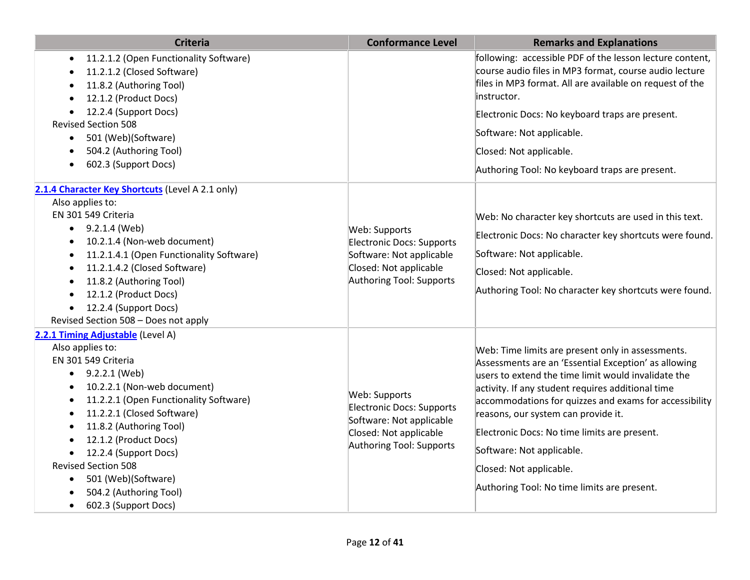| <b>Criteria</b>                                                                                                                                                                                                                                                                                                                                                                                                    | <b>Conformance Level</b>                                                                                                     | <b>Remarks and Explanations</b>                                                                                                                                                                                                                                                                                                                                                                                                                                               |
|--------------------------------------------------------------------------------------------------------------------------------------------------------------------------------------------------------------------------------------------------------------------------------------------------------------------------------------------------------------------------------------------------------------------|------------------------------------------------------------------------------------------------------------------------------|-------------------------------------------------------------------------------------------------------------------------------------------------------------------------------------------------------------------------------------------------------------------------------------------------------------------------------------------------------------------------------------------------------------------------------------------------------------------------------|
| 11.2.1.2 (Open Functionality Software)<br>11.2.1.2 (Closed Software)<br>11.8.2 (Authoring Tool)<br>12.1.2 (Product Docs)<br>12.2.4 (Support Docs)<br><b>Revised Section 508</b><br>501 (Web)(Software)<br>$\bullet$<br>504.2 (Authoring Tool)<br>602.3 (Support Docs)                                                                                                                                              |                                                                                                                              | following: accessible PDF of the lesson lecture content,<br>course audio files in MP3 format, course audio lecture<br>files in MP3 format. All are available on request of the<br>instructor.<br>Electronic Docs: No keyboard traps are present.<br>Software: Not applicable.<br>Closed: Not applicable.<br>Authoring Tool: No keyboard traps are present.                                                                                                                    |
| 2.1.4 Character Key Shortcuts (Level A 2.1 only)<br>Also applies to:<br>EN 301 549 Criteria<br>9.2.1.4 (Web)<br>$\bullet$<br>10.2.1.4 (Non-web document)<br>11.2.1.4.1 (Open Functionality Software)<br>$\bullet$<br>11.2.1.4.2 (Closed Software)<br>$\bullet$<br>11.8.2 (Authoring Tool)<br>12.1.2 (Product Docs)<br>12.2.4 (Support Docs)<br>Revised Section 508 - Does not apply                                | Web: Supports<br>Electronic Docs: Supports<br>Software: Not applicable<br>Closed: Not applicable<br>Authoring Tool: Supports | Web: No character key shortcuts are used in this text.<br>Electronic Docs: No character key shortcuts were found.<br>Software: Not applicable.<br>Closed: Not applicable.<br>Authoring Tool: No character key shortcuts were found.                                                                                                                                                                                                                                           |
| 2.2.1 Timing Adjustable (Level A)<br>Also applies to:<br>EN 301 549 Criteria<br>9.2.2.1 (Web)<br>10.2.2.1 (Non-web document)<br>11.2.2.1 (Open Functionality Software)<br>11.2.2.1 (Closed Software)<br>11.8.2 (Authoring Tool)<br>12.1.2 (Product Docs)<br>12.2.4 (Support Docs)<br><b>Revised Section 508</b><br>501 (Web)(Software)<br>$\bullet$<br>504.2 (Authoring Tool)<br>602.3 (Support Docs)<br>$\bullet$ | Web: Supports<br>Electronic Docs: Supports<br>Software: Not applicable<br>Closed: Not applicable<br>Authoring Tool: Supports | Web: Time limits are present only in assessments.<br>Assessments are an 'Essential Exception' as allowing<br>users to extend the time limit would invalidate the<br>activity. If any student requires additional time<br>accommodations for quizzes and exams for accessibility<br>reasons, our system can provide it.<br>Electronic Docs: No time limits are present.<br>Software: Not applicable.<br>Closed: Not applicable.<br>Authoring Tool: No time limits are present. |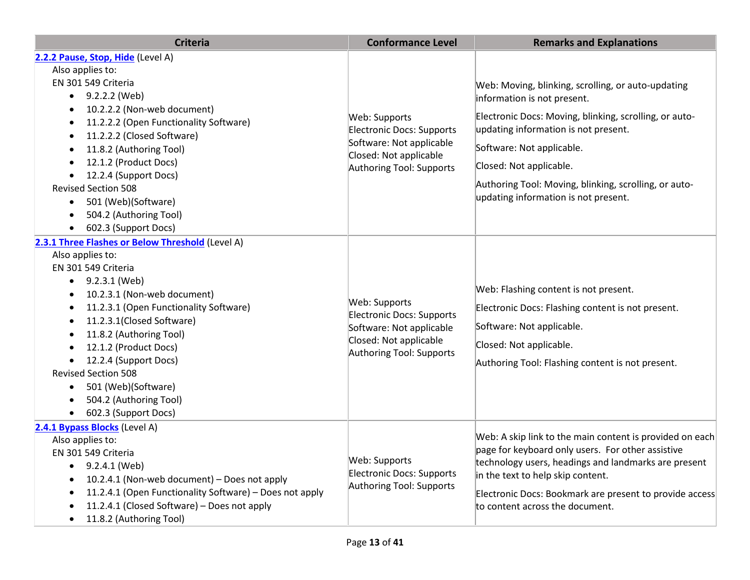| <b>Criteria</b>                                                                                                                                                                                                                                                                                                                                                                                                                                                                               | <b>Conformance Level</b>                                                                                                            | <b>Remarks and Explanations</b>                                                                                                                                                                                                                                                                                                              |
|-----------------------------------------------------------------------------------------------------------------------------------------------------------------------------------------------------------------------------------------------------------------------------------------------------------------------------------------------------------------------------------------------------------------------------------------------------------------------------------------------|-------------------------------------------------------------------------------------------------------------------------------------|----------------------------------------------------------------------------------------------------------------------------------------------------------------------------------------------------------------------------------------------------------------------------------------------------------------------------------------------|
| 2.2.2 Pause, Stop, Hide (Level A)<br>Also applies to:<br>EN 301 549 Criteria<br>$\bullet$ 9.2.2.2 (Web)<br>10.2.2.2 (Non-web document)<br>11.2.2.2 (Open Functionality Software)<br>$\bullet$<br>11.2.2.2 (Closed Software)<br>$\bullet$<br>11.8.2 (Authoring Tool)<br>$\bullet$<br>12.1.2 (Product Docs)<br>12.2.4 (Support Docs)<br>$\bullet$<br><b>Revised Section 508</b><br>501 (Web)(Software)<br>$\bullet$<br>504.2 (Authoring Tool)<br>$\bullet$<br>602.3 (Support Docs)<br>$\bullet$ | Web: Supports<br>Electronic Docs: Supports<br>Software: Not applicable<br>Closed: Not applicable<br>Authoring Tool: Supports        | Web: Moving, blinking, scrolling, or auto-updating<br>information is not present.<br>Electronic Docs: Moving, blinking, scrolling, or auto-<br>updating information is not present.<br>Software: Not applicable.<br>Closed: Not applicable.<br>Authoring Tool: Moving, blinking, scrolling, or auto-<br>updating information is not present. |
| 2.3.1 Three Flashes or Below Threshold (Level A)<br>Also applies to:<br>EN 301 549 Criteria<br>$\bullet$ 9.2.3.1 (Web)<br>10.2.3.1 (Non-web document)<br>$\bullet$<br>11.2.3.1 (Open Functionality Software)<br>$\bullet$<br>11.2.3.1(Closed Software)<br>11.8.2 (Authoring Tool)<br>12.1.2 (Product Docs)<br>12.2.4 (Support Docs)<br><b>Revised Section 508</b><br>501 (Web)(Software)<br>$\bullet$<br>504.2 (Authoring Tool)<br>602.3 (Support Docs)                                       | Web: Supports<br><b>Electronic Docs: Supports</b><br>Software: Not applicable<br>Closed: Not applicable<br>Authoring Tool: Supports | Web: Flashing content is not present.<br>Electronic Docs: Flashing content is not present.<br>Software: Not applicable.<br>Closed: Not applicable.<br>Authoring Tool: Flashing content is not present.                                                                                                                                       |
| 2.4.1 Bypass Blocks (Level A)<br>Also applies to:<br>EN 301 549 Criteria<br>9.2.4.1 (Web)<br>$\bullet$<br>10.2.4.1 (Non-web document) - Does not apply<br>11.2.4.1 (Open Functionality Software) - Does not apply<br>11.2.4.1 (Closed Software) - Does not apply<br>11.8.2 (Authoring Tool)                                                                                                                                                                                                   | Web: Supports<br>Electronic Docs: Supports<br>Authoring Tool: Supports                                                              | Web: A skip link to the main content is provided on each<br>page for keyboard only users. For other assistive<br>technology users, headings and landmarks are present<br>in the text to help skip content.<br>Electronic Docs: Bookmark are present to provide access<br>to content across the document.                                     |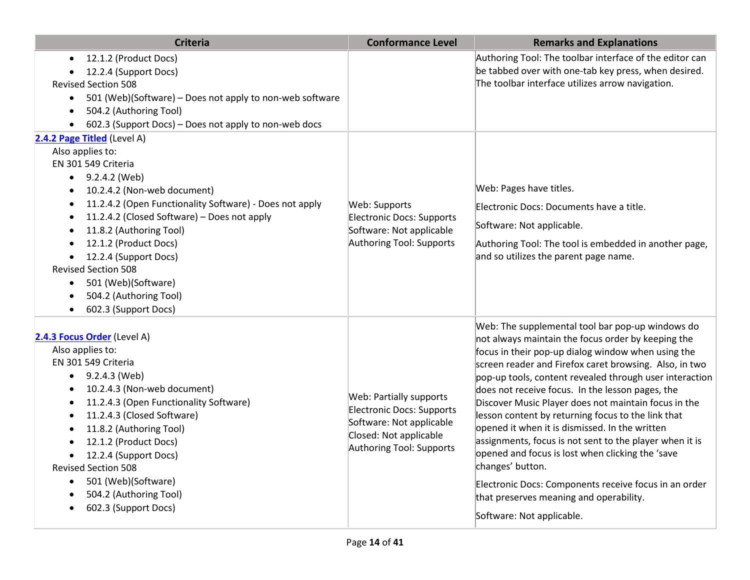| <b>Criteria</b>                                                                                                                                                                                                                                                                                                                                                                                                                                                                                                         | <b>Conformance Level</b>                                                                                                                      | <b>Remarks and Explanations</b>                                                                                                                                                                                                                                                                                                                                                                                                                                                                                                                                                                                                                                                                                                                                           |
|-------------------------------------------------------------------------------------------------------------------------------------------------------------------------------------------------------------------------------------------------------------------------------------------------------------------------------------------------------------------------------------------------------------------------------------------------------------------------------------------------------------------------|-----------------------------------------------------------------------------------------------------------------------------------------------|---------------------------------------------------------------------------------------------------------------------------------------------------------------------------------------------------------------------------------------------------------------------------------------------------------------------------------------------------------------------------------------------------------------------------------------------------------------------------------------------------------------------------------------------------------------------------------------------------------------------------------------------------------------------------------------------------------------------------------------------------------------------------|
| 12.1.2 (Product Docs)<br>$\bullet$<br>12.2.4 (Support Docs)<br><b>Revised Section 508</b><br>501 (Web)(Software) - Does not apply to non-web software<br>$\bullet$<br>504.2 (Authoring Tool)<br>$\bullet$<br>602.3 (Support Docs) - Does not apply to non-web docs                                                                                                                                                                                                                                                      |                                                                                                                                               | Authoring Tool: The toolbar interface of the editor can<br>be tabbed over with one-tab key press, when desired.<br>The toolbar interface utilizes arrow navigation.                                                                                                                                                                                                                                                                                                                                                                                                                                                                                                                                                                                                       |
| 2.4.2 Page Titled (Level A)                                                                                                                                                                                                                                                                                                                                                                                                                                                                                             |                                                                                                                                               |                                                                                                                                                                                                                                                                                                                                                                                                                                                                                                                                                                                                                                                                                                                                                                           |
| Also applies to:<br>EN 301 549 Criteria<br>9.2.4.2 (Web)<br>$\bullet$<br>10.2.4.2 (Non-web document)<br>$\bullet$<br>11.2.4.2 (Open Functionality Software) - Does not apply<br>$\bullet$<br>11.2.4.2 (Closed Software) - Does not apply<br>$\bullet$<br>11.8.2 (Authoring Tool)<br>$\bullet$<br>12.1.2 (Product Docs)<br>$\bullet$<br>12.2.4 (Support Docs)<br>$\bullet$<br><b>Revised Section 508</b><br>501 (Web)(Software)<br>$\bullet$<br>504.2 (Authoring Tool)<br>$\bullet$<br>602.3 (Support Docs)<br>$\bullet$ | Web: Supports<br>Electronic Docs: Supports<br>Software: Not applicable<br>Authoring Tool: Supports                                            | Web: Pages have titles.<br>Electronic Docs: Documents have a title.<br>Software: Not applicable.<br>Authoring Tool: The tool is embedded in another page,<br>and so utilizes the parent page name.                                                                                                                                                                                                                                                                                                                                                                                                                                                                                                                                                                        |
| 2.4.3 Focus Order (Level A)<br>Also applies to:<br>EN 301 549 Criteria<br>9.2.4.3 (Web)<br>$\bullet$<br>10.2.4.3 (Non-web document)<br>$\bullet$<br>11.2.4.3 (Open Functionality Software)<br>$\bullet$<br>11.2.4.3 (Closed Software)<br>٠<br>11.8.2 (Authoring Tool)<br>$\bullet$<br>12.1.2 (Product Docs)<br>$\bullet$<br>12.2.4 (Support Docs)<br><b>Revised Section 508</b><br>501 (Web)(Software)<br>$\bullet$<br>504.2 (Authoring Tool)<br>$\bullet$<br>602.3 (Support Docs)                                      | <b>Web: Partially supports</b><br>Electronic Docs: Supports<br>Software: Not applicable<br>Closed: Not applicable<br>Authoring Tool: Supports | Web: The supplemental tool bar pop-up windows do<br>not always maintain the focus order by keeping the<br>focus in their pop-up dialog window when using the<br>screen reader and Firefox caret browsing. Also, in two<br>pop-up tools, content revealed through user interaction<br>does not receive focus. In the lesson pages, the<br>Discover Music Player does not maintain focus in the<br>lesson content by returning focus to the link that<br>opened it when it is dismissed. In the written<br>assignments, focus is not sent to the player when it is<br>opened and focus is lost when clicking the 'save<br>changes' button.<br>Electronic Docs: Components receive focus in an order<br>that preserves meaning and operability.<br>Software: Not applicable. |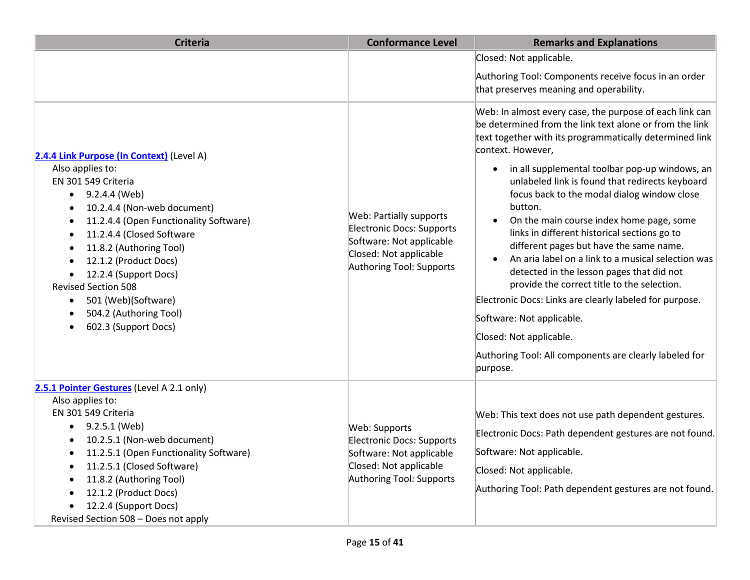| <b>Criteria</b>                                                                                                                                                                                                                                                                                                                                                                                                                                               | <b>Conformance Level</b>                                                                                                                      | <b>Remarks and Explanations</b>                                                                                                                                                                                                                                                                                                                                                                                                                                                                                                                                                                                                                                                                                                                                                                                                                                  |
|---------------------------------------------------------------------------------------------------------------------------------------------------------------------------------------------------------------------------------------------------------------------------------------------------------------------------------------------------------------------------------------------------------------------------------------------------------------|-----------------------------------------------------------------------------------------------------------------------------------------------|------------------------------------------------------------------------------------------------------------------------------------------------------------------------------------------------------------------------------------------------------------------------------------------------------------------------------------------------------------------------------------------------------------------------------------------------------------------------------------------------------------------------------------------------------------------------------------------------------------------------------------------------------------------------------------------------------------------------------------------------------------------------------------------------------------------------------------------------------------------|
|                                                                                                                                                                                                                                                                                                                                                                                                                                                               |                                                                                                                                               | Closed: Not applicable.<br>Authoring Tool: Components receive focus in an order<br>that preserves meaning and operability.                                                                                                                                                                                                                                                                                                                                                                                                                                                                                                                                                                                                                                                                                                                                       |
| 2.4.4 Link Purpose (In Context) (Level A)<br>Also applies to:<br>EN 301 549 Criteria<br>$\bullet$ 9.2.4.4 (Web)<br>10.2.4.4 (Non-web document)<br>$\bullet$<br>11.2.4.4 (Open Functionality Software)<br>$\bullet$<br>11.2.4.4 (Closed Software<br>$\bullet$<br>11.8.2 (Authoring Tool)<br>12.1.2 (Product Docs)<br>12.2.4 (Support Docs)<br><b>Revised Section 508</b><br>501 (Web)(Software)<br>$\bullet$<br>504.2 (Authoring Tool)<br>602.3 (Support Docs) | Web: Partially supports<br><b>Electronic Docs: Supports</b><br>Software: Not applicable<br>Closed: Not applicable<br>Authoring Tool: Supports | Web: In almost every case, the purpose of each link can<br>be determined from the link text alone or from the link<br>text together with its programmatically determined link<br>context. However,<br>in all supplemental toolbar pop-up windows, an<br>unlabeled link is found that redirects keyboard<br>focus back to the modal dialog window close<br>button.<br>On the main course index home page, some<br>$\bullet$<br>links in different historical sections go to<br>different pages but have the same name.<br>An aria label on a link to a musical selection was<br>detected in the lesson pages that did not<br>provide the correct title to the selection.<br>Electronic Docs: Links are clearly labeled for purpose.<br>Software: Not applicable.<br>Closed: Not applicable.<br>Authoring Tool: All components are clearly labeled for<br>purpose. |
| 2.5.1 Pointer Gestures (Level A 2.1 only)<br>Also applies to:<br>EN 301 549 Criteria<br>9.2.5.1 (Web)<br>$\bullet$<br>10.2.5.1 (Non-web document)<br>11.2.5.1 (Open Functionality Software)<br>11.2.5.1 (Closed Software)<br>11.8.2 (Authoring Tool)<br>12.1.2 (Product Docs)<br>12.2.4 (Support Docs)<br>Revised Section 508 - Does not apply                                                                                                                | Web: Supports<br><b>Electronic Docs: Supports</b><br>Software: Not applicable<br>Closed: Not applicable<br>Authoring Tool: Supports           | Web: This text does not use path dependent gestures.<br>Electronic Docs: Path dependent gestures are not found.<br>Software: Not applicable.<br>Closed: Not applicable.<br>Authoring Tool: Path dependent gestures are not found.                                                                                                                                                                                                                                                                                                                                                                                                                                                                                                                                                                                                                                |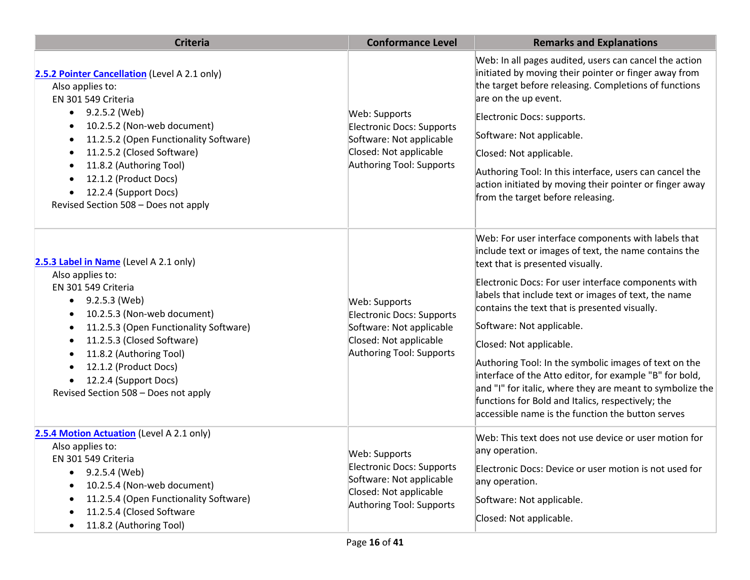| <b>Criteria</b>                                                                                                                                                                                                                                                                                                                             | <b>Conformance Level</b>                                                                                                            | <b>Remarks and Explanations</b>                                                                                                                                                                                                                                                                                                                                                                                                                                                                                                                                                                                                                                     |
|---------------------------------------------------------------------------------------------------------------------------------------------------------------------------------------------------------------------------------------------------------------------------------------------------------------------------------------------|-------------------------------------------------------------------------------------------------------------------------------------|---------------------------------------------------------------------------------------------------------------------------------------------------------------------------------------------------------------------------------------------------------------------------------------------------------------------------------------------------------------------------------------------------------------------------------------------------------------------------------------------------------------------------------------------------------------------------------------------------------------------------------------------------------------------|
| 2.5.2 Pointer Cancellation (Level A 2.1 only)<br>Also applies to:<br>EN 301 549 Criteria<br>9.2.5.2 (Web)<br>10.2.5.2 (Non-web document)                                                                                                                                                                                                    | Web: Supports<br><b>Electronic Docs: Supports</b><br>Software: Not applicable<br>Closed: Not applicable<br>Authoring Tool: Supports | Web: In all pages audited, users can cancel the action<br>initiated by moving their pointer or finger away from<br>the target before releasing. Completions of functions<br>are on the up event.<br>Electronic Docs: supports.                                                                                                                                                                                                                                                                                                                                                                                                                                      |
| 11.2.5.2 (Open Functionality Software)<br>$\bullet$<br>11.2.5.2 (Closed Software)<br>11.8.2 (Authoring Tool)<br>12.1.2 (Product Docs)<br>12.2.4 (Support Docs)<br>Revised Section 508 - Does not apply                                                                                                                                      |                                                                                                                                     | Software: Not applicable.<br>Closed: Not applicable.<br>Authoring Tool: In this interface, users can cancel the<br>action initiated by moving their pointer or finger away<br>from the target before releasing.                                                                                                                                                                                                                                                                                                                                                                                                                                                     |
| 2.5.3 Label in Name (Level A 2.1 only)<br>Also applies to:<br>EN 301 549 Criteria<br>9.2.5.3 (Web)<br>10.2.5.3 (Non-web document)<br>11.2.5.3 (Open Functionality Software)<br>11.2.5.3 (Closed Software)<br>$\bullet$<br>11.8.2 (Authoring Tool)<br>12.1.2 (Product Docs)<br>12.2.4 (Support Docs)<br>Revised Section 508 - Does not apply | Web: Supports<br><b>Electronic Docs: Supports</b><br>Software: Not applicable<br>Closed: Not applicable<br>Authoring Tool: Supports | Web: For user interface components with labels that<br>include text or images of text, the name contains the<br>text that is presented visually.<br>Electronic Docs: For user interface components with<br>labels that include text or images of text, the name<br>contains the text that is presented visually.<br>Software: Not applicable.<br>Closed: Not applicable.<br>Authoring Tool: In the symbolic images of text on the<br>interface of the Atto editor, for example "B" for bold,<br>and "I" for italic, where they are meant to symbolize the<br>functions for Bold and Italics, respectively; the<br>accessible name is the function the button serves |
| 2.5.4 Motion Actuation (Level A 2.1 only)<br>Also applies to:<br>EN 301 549 Criteria<br>9.2.5.4 (Web)<br>$\bullet$<br>10.2.5.4 (Non-web document)<br>11.2.5.4 (Open Functionality Software)<br>11.2.5.4 (Closed Software<br>11.8.2 (Authoring Tool)                                                                                         | Web: Supports<br><b>Electronic Docs: Supports</b><br>Software: Not applicable<br>Closed: Not applicable<br>Authoring Tool: Supports | Web: This text does not use device or user motion for<br>any operation.<br>Electronic Docs: Device or user motion is not used for<br>any operation.<br>Software: Not applicable.<br>Closed: Not applicable.                                                                                                                                                                                                                                                                                                                                                                                                                                                         |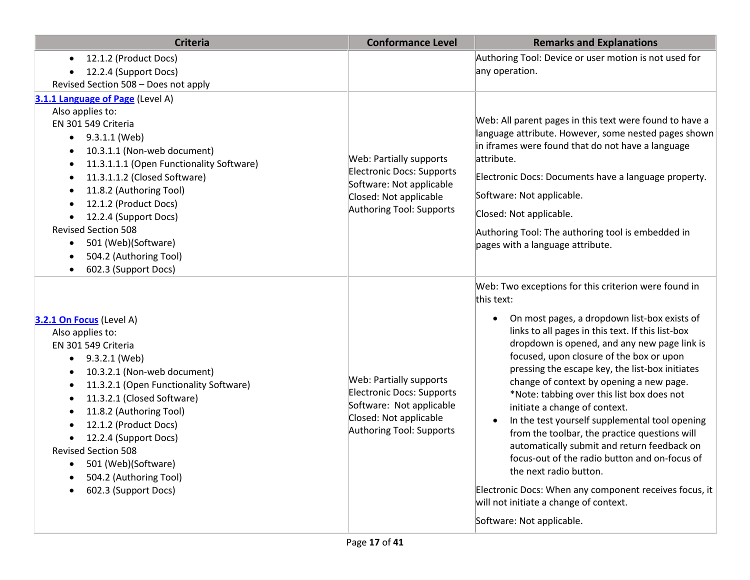| <b>Criteria</b>                                                                                                                                                                                                                                                                                                                                                                                                | <b>Conformance Level</b>                                                                                                                             | <b>Remarks and Explanations</b>                                                                                                                                                                                                                                                                                                                                                                                                                                                                                                                                                                                                                                                                                                                                                                                              |
|----------------------------------------------------------------------------------------------------------------------------------------------------------------------------------------------------------------------------------------------------------------------------------------------------------------------------------------------------------------------------------------------------------------|------------------------------------------------------------------------------------------------------------------------------------------------------|------------------------------------------------------------------------------------------------------------------------------------------------------------------------------------------------------------------------------------------------------------------------------------------------------------------------------------------------------------------------------------------------------------------------------------------------------------------------------------------------------------------------------------------------------------------------------------------------------------------------------------------------------------------------------------------------------------------------------------------------------------------------------------------------------------------------------|
| 12.1.2 (Product Docs)<br>12.2.4 (Support Docs)<br>Revised Section 508 - Does not apply                                                                                                                                                                                                                                                                                                                         |                                                                                                                                                      | Authoring Tool: Device or user motion is not used for<br>any operation.                                                                                                                                                                                                                                                                                                                                                                                                                                                                                                                                                                                                                                                                                                                                                      |
| 3.1.1 Language of Page (Level A)<br>Also applies to:<br>EN 301 549 Criteria<br>9.3.1.1 (Web)<br>$\bullet$<br>10.3.1.1 (Non-web document)<br>11.3.1.1.1 (Open Functionality Software)<br>11.3.1.1.2 (Closed Software)<br>11.8.2 (Authoring Tool)<br>12.1.2 (Product Docs)<br>12.2.4 (Support Docs)<br><b>Revised Section 508</b><br>501 (Web)(Software)<br>504.2 (Authoring Tool)<br>602.3 (Support Docs)       | Web: Partially supports<br><b>Electronic Docs: Supports</b><br>Software: Not applicable<br>Closed: Not applicable<br><b>Authoring Tool: Supports</b> | Web: All parent pages in this text were found to have a<br>language attribute. However, some nested pages shown<br>in iframes were found that do not have a language<br>attribute.<br>Electronic Docs: Documents have a language property.<br>Software: Not applicable.<br>Closed: Not applicable.<br>Authoring Tool: The authoring tool is embedded in<br>pages with a language attribute.                                                                                                                                                                                                                                                                                                                                                                                                                                  |
| 3.2.1 On Focus (Level A)<br>Also applies to:<br>EN 301 549 Criteria<br>9.3.2.1 (Web)<br>$\bullet$<br>10.3.2.1 (Non-web document)<br>$\bullet$<br>11.3.2.1 (Open Functionality Software)<br>11.3.2.1 (Closed Software)<br>11.8.2 (Authoring Tool)<br>٠<br>12.1.2 (Product Docs)<br>12.2.4 (Support Docs)<br><b>Revised Section 508</b><br>501 (Web)(Software)<br>504.2 (Authoring Tool)<br>602.3 (Support Docs) | Web: Partially supports<br>Electronic Docs: Supports<br>Software: Not applicable<br>Closed: Not applicable<br>Authoring Tool: Supports               | Web: Two exceptions for this criterion were found in<br>this text:<br>On most pages, a dropdown list-box exists of<br>links to all pages in this text. If this list-box<br>dropdown is opened, and any new page link is<br>focused, upon closure of the box or upon<br>pressing the escape key, the list-box initiates<br>change of context by opening a new page.<br>*Note: tabbing over this list box does not<br>initiate a change of context.<br>In the test yourself supplemental tool opening<br>$\bullet$<br>from the toolbar, the practice questions will<br>automatically submit and return feedback on<br>focus-out of the radio button and on-focus of<br>the next radio button.<br>Electronic Docs: When any component receives focus, it<br>will not initiate a change of context.<br>Software: Not applicable. |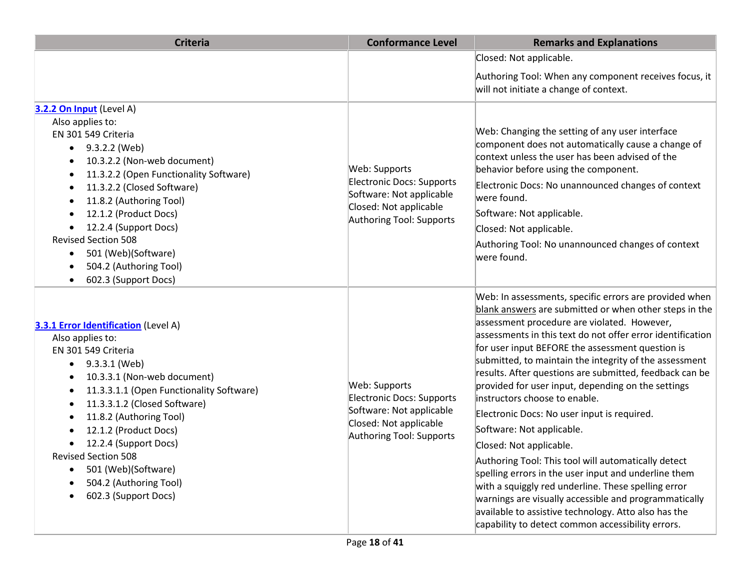| <b>Criteria</b>                                                                                                                                                                                                                                                                                                                                                                                                                                                      | <b>Conformance Level</b>                                                                                                                   | <b>Remarks and Explanations</b>                                                                                                                                                                                                                                                                                                                                                                                                                                                                                                                                                                                                                                                                                                                                                                                                                                                                                                                  |
|----------------------------------------------------------------------------------------------------------------------------------------------------------------------------------------------------------------------------------------------------------------------------------------------------------------------------------------------------------------------------------------------------------------------------------------------------------------------|--------------------------------------------------------------------------------------------------------------------------------------------|--------------------------------------------------------------------------------------------------------------------------------------------------------------------------------------------------------------------------------------------------------------------------------------------------------------------------------------------------------------------------------------------------------------------------------------------------------------------------------------------------------------------------------------------------------------------------------------------------------------------------------------------------------------------------------------------------------------------------------------------------------------------------------------------------------------------------------------------------------------------------------------------------------------------------------------------------|
|                                                                                                                                                                                                                                                                                                                                                                                                                                                                      |                                                                                                                                            | Closed: Not applicable.                                                                                                                                                                                                                                                                                                                                                                                                                                                                                                                                                                                                                                                                                                                                                                                                                                                                                                                          |
|                                                                                                                                                                                                                                                                                                                                                                                                                                                                      |                                                                                                                                            | Authoring Tool: When any component receives focus, it<br>will not initiate a change of context.                                                                                                                                                                                                                                                                                                                                                                                                                                                                                                                                                                                                                                                                                                                                                                                                                                                  |
| 3.2.2 On Input (Level A)<br>Also applies to:<br>EN 301 549 Criteria<br>9.3.2.2 (Web)<br>$\bullet$<br>10.3.2.2 (Non-web document)<br>$\bullet$<br>11.3.2.2 (Open Functionality Software)<br>$\bullet$<br>11.3.2.2 (Closed Software)<br>٠<br>11.8.2 (Authoring Tool)<br>$\bullet$<br>12.1.2 (Product Docs)<br>12.2.4 (Support Docs)<br><b>Revised Section 508</b><br>501 (Web)(Software)<br>$\bullet$<br>504.2 (Authoring Tool)<br>602.3 (Support Docs)<br>$\bullet$   | Web: Supports<br><b>Electronic Docs: Supports</b><br>Software: Not applicable<br>Closed: Not applicable<br><b>Authoring Tool: Supports</b> | Web: Changing the setting of any user interface<br>component does not automatically cause a change of<br>context unless the user has been advised of the<br>behavior before using the component.<br>Electronic Docs: No unannounced changes of context<br>were found.<br>Software: Not applicable.<br>Closed: Not applicable.<br>Authoring Tool: No unannounced changes of context<br>were found.                                                                                                                                                                                                                                                                                                                                                                                                                                                                                                                                                |
| <b>3.3.1 Error Identification</b> (Level A)<br>Also applies to:<br>EN 301 549 Criteria<br>9.3.3.1 (Web)<br>$\bullet$<br>10.3.3.1 (Non-web document)<br>$\bullet$<br>11.3.3.1.1 (Open Functionality Software)<br>$\bullet$<br>11.3.3.1.2 (Closed Software)<br>٠<br>11.8.2 (Authoring Tool)<br>٠<br>12.1.2 (Product Docs)<br>12.2.4 (Support Docs)<br><b>Revised Section 508</b><br>501 (Web)(Software)<br>504.2 (Authoring Tool)<br>602.3 (Support Docs)<br>$\bullet$ | Web: Supports<br><b>Electronic Docs: Supports</b><br>Software: Not applicable<br>Closed: Not applicable<br>Authoring Tool: Supports        | Web: In assessments, specific errors are provided when<br>blank answers are submitted or when other steps in the<br>assessment procedure are violated. However,<br>assessments in this text do not offer error identification<br>for user input BEFORE the assessment question is<br>submitted, to maintain the integrity of the assessment<br>results. After questions are submitted, feedback can be<br>provided for user input, depending on the settings<br>instructors choose to enable.<br>Electronic Docs: No user input is required.<br>Software: Not applicable.<br>Closed: Not applicable.<br>Authoring Tool: This tool will automatically detect<br>spelling errors in the user input and underline them<br>with a squiggly red underline. These spelling error<br>warnings are visually accessible and programmatically<br>available to assistive technology. Atto also has the<br>capability to detect common accessibility errors. |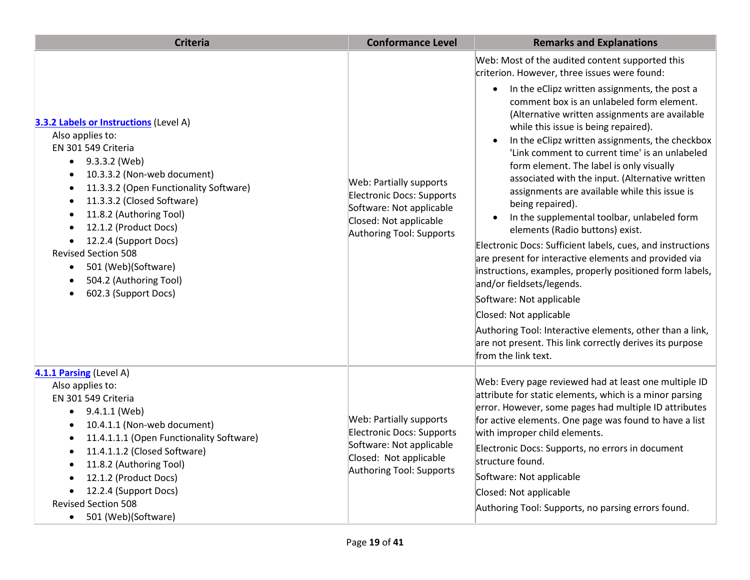| <b>Criteria</b>                                                                                                                                                                                                                                                                                                                                                                                                                                                                                                                        | <b>Conformance Level</b>                                                                                                                      | <b>Remarks and Explanations</b>                                                                                                                                                                                                                                                                                                                                                                                                                                                                                                                                                                                                                                                                                                                                                                                                                                                                                                                                                                                                                                                                   |
|----------------------------------------------------------------------------------------------------------------------------------------------------------------------------------------------------------------------------------------------------------------------------------------------------------------------------------------------------------------------------------------------------------------------------------------------------------------------------------------------------------------------------------------|-----------------------------------------------------------------------------------------------------------------------------------------------|---------------------------------------------------------------------------------------------------------------------------------------------------------------------------------------------------------------------------------------------------------------------------------------------------------------------------------------------------------------------------------------------------------------------------------------------------------------------------------------------------------------------------------------------------------------------------------------------------------------------------------------------------------------------------------------------------------------------------------------------------------------------------------------------------------------------------------------------------------------------------------------------------------------------------------------------------------------------------------------------------------------------------------------------------------------------------------------------------|
| <b>3.3.2 Labels or Instructions (Level A)</b><br>Also applies to:<br>EN 301 549 Criteria<br>9.3.3.2 (Web)<br>$\bullet$<br>10.3.3.2 (Non-web document)<br>$\bullet$<br>11.3.3.2 (Open Functionality Software)<br>$\bullet$<br>11.3.3.2 (Closed Software)<br>$\bullet$<br>11.8.2 (Authoring Tool)<br>$\bullet$<br>12.1.2 (Product Docs)<br>$\bullet$<br>12.2.4 (Support Docs)<br>$\bullet$<br><b>Revised Section 508</b><br>501 (Web)(Software)<br>$\bullet$<br>504.2 (Authoring Tool)<br>$\bullet$<br>602.3 (Support Docs)<br>$\bullet$ | <b>Web: Partially supports</b><br>Electronic Docs: Supports<br>Software: Not applicable<br>Closed: Not applicable<br>Authoring Tool: Supports | Web: Most of the audited content supported this<br>criterion. However, three issues were found:<br>In the eClipz written assignments, the post a<br>$\bullet$<br>comment box is an unlabeled form element.<br>(Alternative written assignments are available<br>while this issue is being repaired).<br>In the eClipz written assignments, the checkbox<br>$\bullet$<br>'Link comment to current time' is an unlabeled<br>form element. The label is only visually<br>associated with the input. (Alternative written<br>assignments are available while this issue is<br>being repaired).<br>In the supplemental toolbar, unlabeled form<br>elements (Radio buttons) exist.<br>Electronic Docs: Sufficient labels, cues, and instructions<br>are present for interactive elements and provided via<br>instructions, examples, properly positioned form labels,<br>and/or fieldsets/legends.<br>Software: Not applicable<br>Closed: Not applicable<br>Authoring Tool: Interactive elements, other than a link,<br>are not present. This link correctly derives its purpose<br>from the link text. |
| 4.1.1 Parsing (Level A)<br>Also applies to:<br>EN 301 549 Criteria<br>9.4.1.1 (Web)<br>$\bullet$<br>10.4.1.1 (Non-web document)<br>$\bullet$<br>11.4.1.1.1 (Open Functionality Software)<br>$\bullet$<br>11.4.1.1.2 (Closed Software)<br>$\bullet$<br>11.8.2 (Authoring Tool)<br>$\bullet$<br>12.1.2 (Product Docs)<br>$\bullet$<br>12.2.4 (Support Docs)<br>$\bullet$<br><b>Revised Section 508</b><br>501 (Web)(Software)<br>$\bullet$                                                                                               | <b>Web: Partially supports</b><br>Electronic Docs: Supports<br>Software: Not applicable<br>Closed: Not applicable<br>Authoring Tool: Supports | Web: Every page reviewed had at least one multiple ID<br>attribute for static elements, which is a minor parsing<br>error. However, some pages had multiple ID attributes<br>for active elements. One page was found to have a list<br>with improper child elements.<br>Electronic Docs: Supports, no errors in document<br>structure found.<br>Software: Not applicable<br>Closed: Not applicable<br>Authoring Tool: Supports, no parsing errors found.                                                                                                                                                                                                                                                                                                                                                                                                                                                                                                                                                                                                                                          |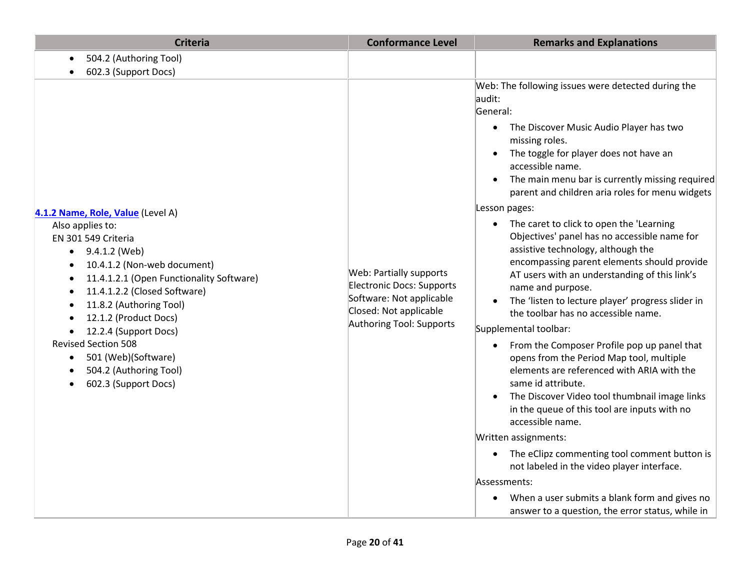| <b>Criteria</b>                                                                                                                                                                                                                                                                                                                                                                                                        | <b>Conformance Level</b>                                                                                                                      | <b>Remarks and Explanations</b>                                                                                                                                                                                                                                                                                                                                                                                                                                                                                                                                                                                                                                                                                                                                                                                                                                                                                                                                                                                                                                                                                                                                                                                                                                 |
|------------------------------------------------------------------------------------------------------------------------------------------------------------------------------------------------------------------------------------------------------------------------------------------------------------------------------------------------------------------------------------------------------------------------|-----------------------------------------------------------------------------------------------------------------------------------------------|-----------------------------------------------------------------------------------------------------------------------------------------------------------------------------------------------------------------------------------------------------------------------------------------------------------------------------------------------------------------------------------------------------------------------------------------------------------------------------------------------------------------------------------------------------------------------------------------------------------------------------------------------------------------------------------------------------------------------------------------------------------------------------------------------------------------------------------------------------------------------------------------------------------------------------------------------------------------------------------------------------------------------------------------------------------------------------------------------------------------------------------------------------------------------------------------------------------------------------------------------------------------|
| 504.2 (Authoring Tool)<br>602.3 (Support Docs)                                                                                                                                                                                                                                                                                                                                                                         |                                                                                                                                               |                                                                                                                                                                                                                                                                                                                                                                                                                                                                                                                                                                                                                                                                                                                                                                                                                                                                                                                                                                                                                                                                                                                                                                                                                                                                 |
| 4.1.2 Name, Role, Value (Level A)<br>Also applies to:<br>EN 301 549 Criteria<br>9.4.1.2 (Web)<br>$\bullet$<br>10.4.1.2 (Non-web document)<br>11.4.1.2.1 (Open Functionality Software)<br>11.4.1.2.2 (Closed Software)<br>11.8.2 (Authoring Tool)<br>12.1.2 (Product Docs)<br>12.2.4 (Support Docs)<br><b>Revised Section 508</b><br>501 (Web)(Software)<br>$\bullet$<br>504.2 (Authoring Tool)<br>602.3 (Support Docs) | <b>Web: Partially supports</b><br>Electronic Docs: Supports<br>Software: Not applicable<br>Closed: Not applicable<br>Authoring Tool: Supports | Web: The following issues were detected during the<br>audit:<br>General:<br>The Discover Music Audio Player has two<br>$\bullet$<br>missing roles.<br>The toggle for player does not have an<br>accessible name.<br>The main menu bar is currently missing required<br>parent and children aria roles for menu widgets<br>Lesson pages:<br>The caret to click to open the 'Learning<br>$\bullet$<br>Objectives' panel has no accessible name for<br>assistive technology, although the<br>encompassing parent elements should provide<br>AT users with an understanding of this link's<br>name and purpose.<br>The 'listen to lecture player' progress slider in<br>the toolbar has no accessible name.<br>Supplemental toolbar:<br>From the Composer Profile pop up panel that<br>opens from the Period Map tool, multiple<br>elements are referenced with ARIA with the<br>same id attribute.<br>The Discover Video tool thumbnail image links<br>in the queue of this tool are inputs with no<br>accessible name.<br>Written assignments:<br>The eClipz commenting tool comment button is<br>not labeled in the video player interface.<br>Assessments:<br>When a user submits a blank form and gives no<br>answer to a question, the error status, while in |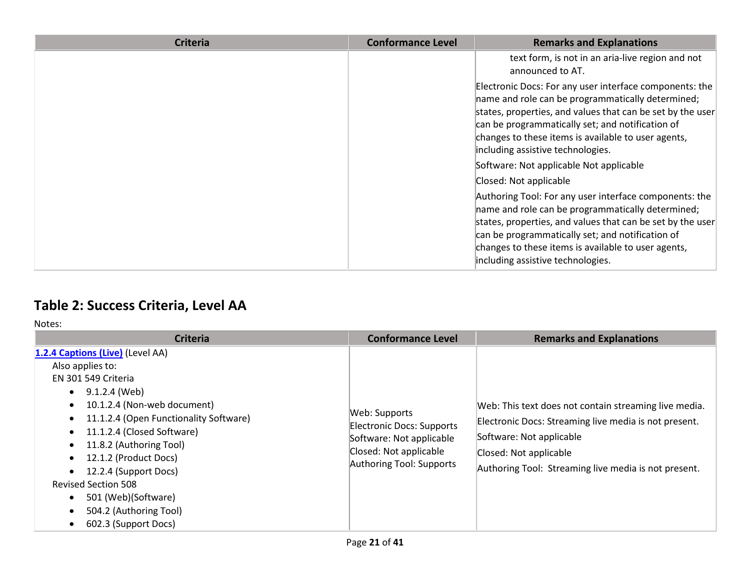| <b>Criteria</b> | <b>Conformance Level</b> | <b>Remarks and Explanations</b>                                                                                                                                                                                                                                                                                            |
|-----------------|--------------------------|----------------------------------------------------------------------------------------------------------------------------------------------------------------------------------------------------------------------------------------------------------------------------------------------------------------------------|
|                 |                          | text form, is not in an aria-live region and not<br>announced to AT.                                                                                                                                                                                                                                                       |
|                 |                          | Electronic Docs: For any user interface components: the<br>name and role can be programmatically determined;<br>states, properties, and values that can be set by the user<br>can be programmatically set; and notification of<br>changes to these items is available to user agents,<br>including assistive technologies. |
|                 |                          | Software: Not applicable Not applicable                                                                                                                                                                                                                                                                                    |
|                 |                          | Closed: Not applicable                                                                                                                                                                                                                                                                                                     |
|                 |                          | Authoring Tool: For any user interface components: the<br>name and role can be programmatically determined;<br>states, properties, and values that can be set by the user<br>can be programmatically set; and notification of<br>changes to these items is available to user agents,<br>including assistive technologies.  |

## **Table 2: Success Criteria, Level AA**

| <b>Criteria</b>                                                                                                                                                                                                                                                                                                                                                                                                                             | <b>Conformance Level</b>                                                                                                     | <b>Remarks and Explanations</b>                                                                                                                                                                                              |
|---------------------------------------------------------------------------------------------------------------------------------------------------------------------------------------------------------------------------------------------------------------------------------------------------------------------------------------------------------------------------------------------------------------------------------------------|------------------------------------------------------------------------------------------------------------------------------|------------------------------------------------------------------------------------------------------------------------------------------------------------------------------------------------------------------------------|
| 1.2.4 Captions (Live) (Level AA)<br>Also applies to:<br>EN 301 549 Criteria<br>9.1.2.4 (Web)<br>$\bullet$<br>10.1.2.4 (Non-web document)<br>11.1.2.4 (Open Functionality Software)<br>$\bullet$<br>11.1.2.4 (Closed Software)<br>$\bullet$<br>11.8.2 (Authoring Tool)<br>$\bullet$<br>12.1.2 (Product Docs)<br>12.2.4 (Support Docs)<br><b>Revised Section 508</b><br>501 (Web)(Software)<br>504.2 (Authoring Tool)<br>602.3 (Support Docs) | Web: Supports<br>Electronic Docs: Supports<br>Software: Not applicable<br>Closed: Not applicable<br>Authoring Tool: Supports | Web: This text does not contain streaming live media.<br>Electronic Docs: Streaming live media is not present.<br>Software: Not applicable<br>Closed: Not applicable<br>Authoring Tool: Streaming live media is not present. |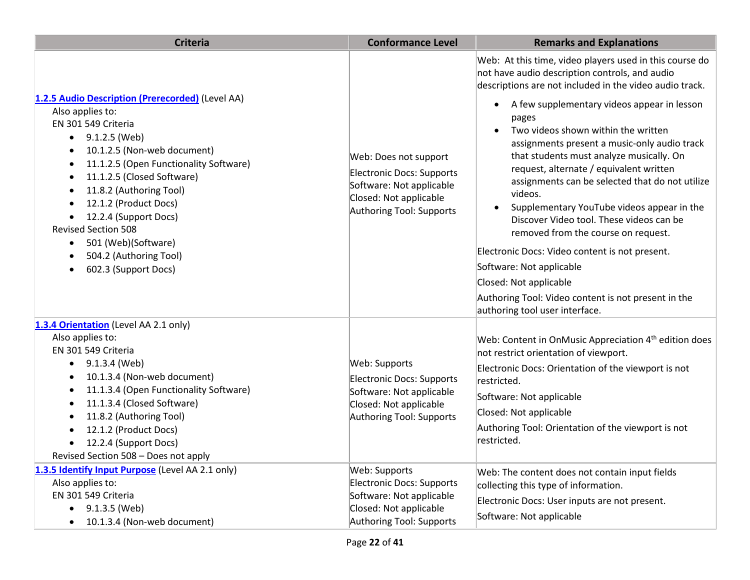| <b>Criteria</b>                                                                                                                                                                                                                                                                                                                                                                                                                                                                              | <b>Conformance Level</b>                                                                                                                                                                 | <b>Remarks and Explanations</b>                                                                                                                                                                                                                                                                                                                                                                                                                                                                                                                                                                                                                                                                                                                                                                                         |
|----------------------------------------------------------------------------------------------------------------------------------------------------------------------------------------------------------------------------------------------------------------------------------------------------------------------------------------------------------------------------------------------------------------------------------------------------------------------------------------------|------------------------------------------------------------------------------------------------------------------------------------------------------------------------------------------|-------------------------------------------------------------------------------------------------------------------------------------------------------------------------------------------------------------------------------------------------------------------------------------------------------------------------------------------------------------------------------------------------------------------------------------------------------------------------------------------------------------------------------------------------------------------------------------------------------------------------------------------------------------------------------------------------------------------------------------------------------------------------------------------------------------------------|
| 1.2.5 Audio Description (Prerecorded) (Level AA)<br>Also applies to:<br>EN 301 549 Criteria<br>9.1.2.5 (Web)<br>$\bullet$<br>10.1.2.5 (Non-web document)<br>٠<br>11.1.2.5 (Open Functionality Software)<br>$\bullet$<br>11.1.2.5 (Closed Software)<br>٠<br>11.8.2 (Authoring Tool)<br>٠<br>12.1.2 (Product Docs)<br>٠<br>12.2.4 (Support Docs)<br><b>Revised Section 508</b><br>501 (Web)(Software)<br>$\bullet$<br>504.2 (Authoring Tool)<br>$\bullet$<br>602.3 (Support Docs)<br>$\bullet$ | Web: Does not support<br>Electronic Docs: Supports<br>Software: Not applicable<br>Closed: Not applicable<br>Authoring Tool: Supports                                                     | Web: At this time, video players used in this course do<br>not have audio description controls, and audio<br>descriptions are not included in the video audio track.<br>A few supplementary videos appear in lesson<br>$\bullet$<br>pages<br>Two videos shown within the written<br>assignments present a music-only audio track<br>that students must analyze musically. On<br>request, alternate / equivalent written<br>assignments can be selected that do not utilize<br>videos.<br>Supplementary YouTube videos appear in the<br>Discover Video tool. These videos can be<br>removed from the course on request.<br>Electronic Docs: Video content is not present.<br>Software: Not applicable<br>Closed: Not applicable<br>Authoring Tool: Video content is not present in the<br>authoring tool user interface. |
| 1.3.4 Orientation (Level AA 2.1 only)<br>Also applies to:<br>EN 301 549 Criteria<br>9.1.3.4 (Web)<br>$\bullet$<br>10.1.3.4 (Non-web document)<br>$\bullet$<br>11.1.3.4 (Open Functionality Software)<br>$\bullet$<br>11.1.3.4 (Closed Software)<br>٠<br>11.8.2 (Authoring Tool)<br>٠<br>12.1.2 (Product Docs)<br>12.2.4 (Support Docs)<br>Revised Section 508 - Does not apply<br>1.3.5 Identify Input Purpose (Level AA 2.1 only)<br>Also applies to:                                       | Web: Supports<br><b>Electronic Docs: Supports</b><br>Software: Not applicable<br>Closed: Not applicable<br>Authoring Tool: Supports<br>Web: Supports<br><b>Electronic Docs: Supports</b> | Web: Content in OnMusic Appreciation 4 <sup>th</sup> edition does<br>not restrict orientation of viewport.<br>Electronic Docs: Orientation of the viewport is not<br>restricted.<br>Software: Not applicable<br>Closed: Not applicable<br>Authoring Tool: Orientation of the viewport is not<br>restricted.<br>Web: The content does not contain input fields<br>collecting this type of information.                                                                                                                                                                                                                                                                                                                                                                                                                   |
| EN 301 549 Criteria<br>9.1.3.5 (Web)<br>10.1.3.4 (Non-web document)                                                                                                                                                                                                                                                                                                                                                                                                                          | Software: Not applicable<br>Closed: Not applicable<br>Authoring Tool: Supports                                                                                                           | Electronic Docs: User inputs are not present.<br>Software: Not applicable                                                                                                                                                                                                                                                                                                                                                                                                                                                                                                                                                                                                                                                                                                                                               |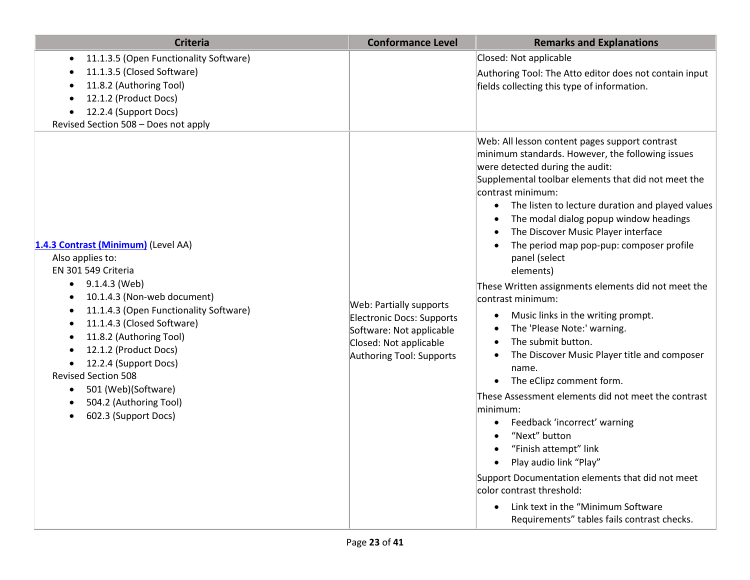| <b>Criteria</b>                                                                                                                                                                                                                                                                                                                                                                                                                                                                                                      | <b>Conformance Level</b>                                                                                                               | <b>Remarks and Explanations</b>                                                                                                                                                                                                                                                                                                                                                                                                                                                                                                                                                                                                                                                                                                                                                                                                                                                                                                                                                                                                                                     |
|----------------------------------------------------------------------------------------------------------------------------------------------------------------------------------------------------------------------------------------------------------------------------------------------------------------------------------------------------------------------------------------------------------------------------------------------------------------------------------------------------------------------|----------------------------------------------------------------------------------------------------------------------------------------|---------------------------------------------------------------------------------------------------------------------------------------------------------------------------------------------------------------------------------------------------------------------------------------------------------------------------------------------------------------------------------------------------------------------------------------------------------------------------------------------------------------------------------------------------------------------------------------------------------------------------------------------------------------------------------------------------------------------------------------------------------------------------------------------------------------------------------------------------------------------------------------------------------------------------------------------------------------------------------------------------------------------------------------------------------------------|
| 11.1.3.5 (Open Functionality Software)<br>$\bullet$<br>11.1.3.5 (Closed Software)<br>$\bullet$<br>11.8.2 (Authoring Tool)<br>$\bullet$<br>12.1.2 (Product Docs)<br>12.2.4 (Support Docs)<br>$\bullet$<br>Revised Section 508 - Does not apply                                                                                                                                                                                                                                                                        |                                                                                                                                        | Closed: Not applicable<br>Authoring Tool: The Atto editor does not contain input<br>fields collecting this type of information.                                                                                                                                                                                                                                                                                                                                                                                                                                                                                                                                                                                                                                                                                                                                                                                                                                                                                                                                     |
| 1.4.3 Contrast (Minimum) (Level AA)<br>Also applies to:<br>EN 301 549 Criteria<br>9.1.4.3 (Web)<br>$\bullet$<br>10.1.4.3 (Non-web document)<br>$\bullet$<br>11.1.4.3 (Open Functionality Software)<br>$\bullet$<br>11.1.4.3 (Closed Software)<br>$\bullet$<br>11.8.2 (Authoring Tool)<br>$\bullet$<br>12.1.2 (Product Docs)<br>$\bullet$<br>12.2.4 (Support Docs)<br>$\bullet$<br><b>Revised Section 508</b><br>501 (Web)(Software)<br>$\bullet$<br>504.2 (Authoring Tool)<br>٠<br>602.3 (Support Docs)<br>$\bullet$ | Web: Partially supports<br>Electronic Docs: Supports<br>Software: Not applicable<br>Closed: Not applicable<br>Authoring Tool: Supports | Web: All lesson content pages support contrast<br>minimum standards. However, the following issues<br>were detected during the audit:<br>Supplemental toolbar elements that did not meet the<br>contrast minimum:<br>The listen to lecture duration and played values<br>$\bullet$<br>The modal dialog popup window headings<br>The Discover Music Player interface<br>The period map pop-pup: composer profile<br>panel (select<br>elements)<br>These Written assignments elements did not meet the<br>contrast minimum:<br>Music links in the writing prompt.<br>The 'Please Note:' warning.<br>The submit button.<br>The Discover Music Player title and composer<br>name.<br>The eClipz comment form.<br>These Assessment elements did not meet the contrast<br>minimum:<br>Feedback 'incorrect' warning<br>$\bullet$<br>"Next" button<br>"Finish attempt" link<br>Play audio link "Play"<br>Support Documentation elements that did not meet<br>color contrast threshold:<br>Link text in the "Minimum Software<br>Requirements" tables fails contrast checks. |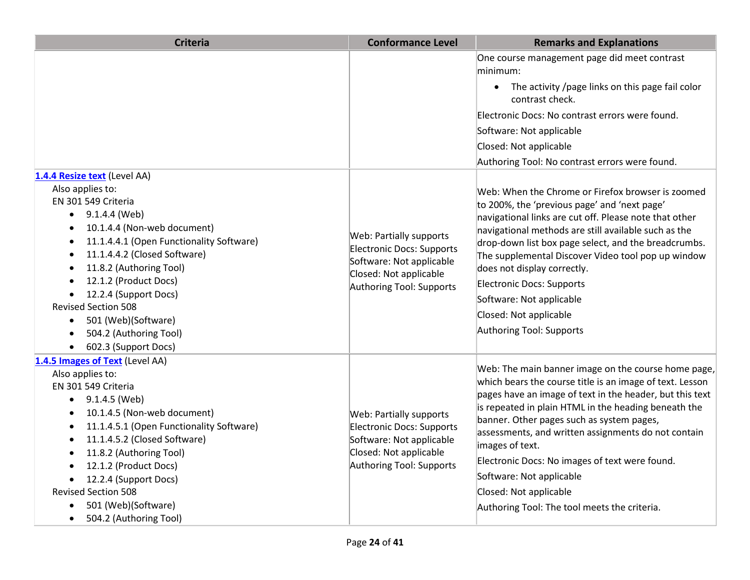| <b>Criteria</b>                                                                                                                                                                                                                                                                                                                                                                                          | <b>Conformance Level</b>                                                                                                               | <b>Remarks and Explanations</b>                                                                                                                                                                                                                                                                                                                                                                                                                                                                                    |
|----------------------------------------------------------------------------------------------------------------------------------------------------------------------------------------------------------------------------------------------------------------------------------------------------------------------------------------------------------------------------------------------------------|----------------------------------------------------------------------------------------------------------------------------------------|--------------------------------------------------------------------------------------------------------------------------------------------------------------------------------------------------------------------------------------------------------------------------------------------------------------------------------------------------------------------------------------------------------------------------------------------------------------------------------------------------------------------|
|                                                                                                                                                                                                                                                                                                                                                                                                          |                                                                                                                                        | One course management page did meet contrast<br>minimum:                                                                                                                                                                                                                                                                                                                                                                                                                                                           |
|                                                                                                                                                                                                                                                                                                                                                                                                          |                                                                                                                                        | The activity /page links on this page fail color<br>$\bullet$<br>contrast check.                                                                                                                                                                                                                                                                                                                                                                                                                                   |
|                                                                                                                                                                                                                                                                                                                                                                                                          |                                                                                                                                        | Electronic Docs: No contrast errors were found.                                                                                                                                                                                                                                                                                                                                                                                                                                                                    |
|                                                                                                                                                                                                                                                                                                                                                                                                          |                                                                                                                                        | Software: Not applicable                                                                                                                                                                                                                                                                                                                                                                                                                                                                                           |
|                                                                                                                                                                                                                                                                                                                                                                                                          |                                                                                                                                        | Closed: Not applicable                                                                                                                                                                                                                                                                                                                                                                                                                                                                                             |
|                                                                                                                                                                                                                                                                                                                                                                                                          |                                                                                                                                        | Authoring Tool: No contrast errors were found.                                                                                                                                                                                                                                                                                                                                                                                                                                                                     |
| 1.4.4 Resize text (Level AA)                                                                                                                                                                                                                                                                                                                                                                             |                                                                                                                                        |                                                                                                                                                                                                                                                                                                                                                                                                                                                                                                                    |
| Also applies to:<br>EN 301 549 Criteria<br>$\bullet$ 9.1.4.4 (Web)<br>10.1.4.4 (Non-web document)<br>$\bullet$<br>11.1.4.4.1 (Open Functionality Software)<br>11.1.4.4.2 (Closed Software)<br>11.8.2 (Authoring Tool)<br>12.1.2 (Product Docs)<br>12.2.4 (Support Docs)<br><b>Revised Section 508</b><br>501 (Web)(Software)<br>$\bullet$<br>504.2 (Authoring Tool)<br>602.3 (Support Docs)<br>$\bullet$ | Web: Partially supports<br>Electronic Docs: Supports<br>Software: Not applicable<br>Closed: Not applicable<br>Authoring Tool: Supports | Web: When the Chrome or Firefox browser is zoomed<br>to 200%, the 'previous page' and 'next page'<br>navigational links are cut off. Please note that other<br>navigational methods are still available such as the<br>drop-down list box page select, and the breadcrumbs.<br>The supplemental Discover Video tool pop up window<br>does not display correctly.<br>Electronic Docs: Supports<br>Software: Not applicable<br>Closed: Not applicable<br>Authoring Tool: Supports                                    |
| 1.4.5 Images of Text (Level AA)<br>Also applies to:<br>EN 301 549 Criteria<br>$\bullet$ 9.1.4.5 (Web)<br>10.1.4.5 (Non-web document)<br>11.1.4.5.1 (Open Functionality Software)<br>11.1.4.5.2 (Closed Software)<br>11.8.2 (Authoring Tool)<br>12.1.2 (Product Docs)<br>12.2.4 (Support Docs)<br><b>Revised Section 508</b><br>501 (Web)(Software)<br>504.2 (Authoring Tool)<br>$\bullet$                | Web: Partially supports<br>Electronic Docs: Supports<br>Software: Not applicable<br>Closed: Not applicable<br>Authoring Tool: Supports | Web: The main banner image on the course home page,<br>which bears the course title is an image of text. Lesson<br>pages have an image of text in the header, but this text<br>is repeated in plain HTML in the heading beneath the<br>banner. Other pages such as system pages,<br>assessments, and written assignments do not contain<br>images of text.<br>Electronic Docs: No images of text were found.<br>Software: Not applicable<br>Closed: Not applicable<br>Authoring Tool: The tool meets the criteria. |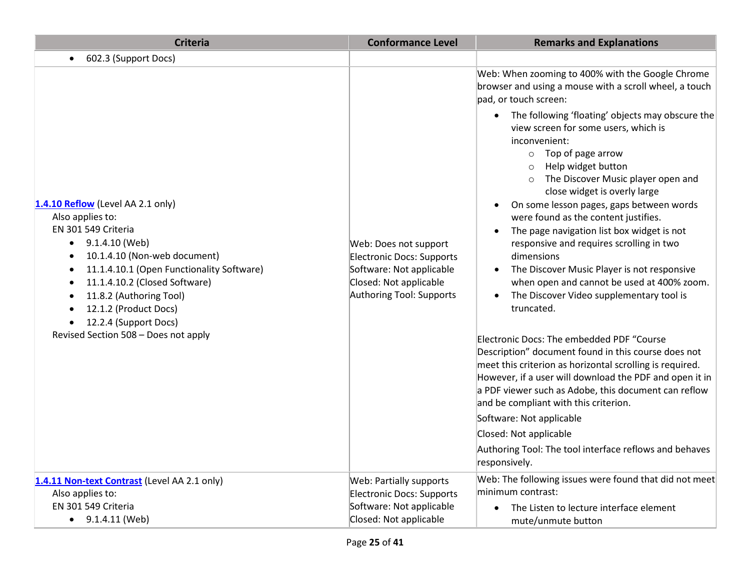| <b>Criteria</b>                                                                                                                                                                                                                                                                                                                                                                    | <b>Conformance Level</b>                                                                                                             | <b>Remarks and Explanations</b>                                                                                                                                                                                                                                                                                                                                                                                                                                                                                                                                                                                                                                                                                                                                                                                                                                                                                                                                                                                                                                                                                                                                                                                                             |
|------------------------------------------------------------------------------------------------------------------------------------------------------------------------------------------------------------------------------------------------------------------------------------------------------------------------------------------------------------------------------------|--------------------------------------------------------------------------------------------------------------------------------------|---------------------------------------------------------------------------------------------------------------------------------------------------------------------------------------------------------------------------------------------------------------------------------------------------------------------------------------------------------------------------------------------------------------------------------------------------------------------------------------------------------------------------------------------------------------------------------------------------------------------------------------------------------------------------------------------------------------------------------------------------------------------------------------------------------------------------------------------------------------------------------------------------------------------------------------------------------------------------------------------------------------------------------------------------------------------------------------------------------------------------------------------------------------------------------------------------------------------------------------------|
| 602.3 (Support Docs)                                                                                                                                                                                                                                                                                                                                                               |                                                                                                                                      |                                                                                                                                                                                                                                                                                                                                                                                                                                                                                                                                                                                                                                                                                                                                                                                                                                                                                                                                                                                                                                                                                                                                                                                                                                             |
| 1.4.10 Reflow (Level AA 2.1 only)<br>Also applies to:<br>EN 301 549 Criteria<br>$\bullet$ 9.1.4.10 (Web)<br>10.1.4.10 (Non-web document)<br>11.1.4.10.1 (Open Functionality Software)<br>$\bullet$<br>11.1.4.10.2 (Closed Software)<br>$\bullet$<br>11.8.2 (Authoring Tool)<br>12.1.2 (Product Docs)<br>12.2.4 (Support Docs)<br>$\bullet$<br>Revised Section 508 - Does not apply | Web: Does not support<br>Electronic Docs: Supports<br>Software: Not applicable<br>Closed: Not applicable<br>Authoring Tool: Supports | Web: When zooming to 400% with the Google Chrome<br>browser and using a mouse with a scroll wheel, a touch<br>pad, or touch screen:<br>The following 'floating' objects may obscure the<br>$\bullet$<br>view screen for some users, which is<br>inconvenient:<br>$\circ$ Top of page arrow<br>Help widget button<br>$\circ$<br>The Discover Music player open and<br>close widget is overly large<br>On some lesson pages, gaps between words<br>$\bullet$<br>were found as the content justifies.<br>The page navigation list box widget is not<br>$\bullet$<br>responsive and requires scrolling in two<br>dimensions<br>The Discover Music Player is not responsive<br>when open and cannot be used at 400% zoom.<br>The Discover Video supplementary tool is<br>truncated.<br>Electronic Docs: The embedded PDF "Course<br>Description" document found in this course does not<br>meet this criterion as horizontal scrolling is required.<br>However, if a user will download the PDF and open it in<br>a PDF viewer such as Adobe, this document can reflow<br>and be compliant with this criterion.<br>Software: Not applicable<br>Closed: Not applicable<br>Authoring Tool: The tool interface reflows and behaves<br>responsively. |
| 1.4.11 Non-text Contrast (Level AA 2.1 only)<br>Also applies to:<br>EN 301 549 Criteria<br>$\bullet$ 9.1.4.11 (Web)                                                                                                                                                                                                                                                                | Web: Partially supports<br>Electronic Docs: Supports<br>Software: Not applicable<br>Closed: Not applicable                           | Web: The following issues were found that did not meet<br>minimum contrast:<br>The Listen to lecture interface element<br>mute/unmute button                                                                                                                                                                                                                                                                                                                                                                                                                                                                                                                                                                                                                                                                                                                                                                                                                                                                                                                                                                                                                                                                                                |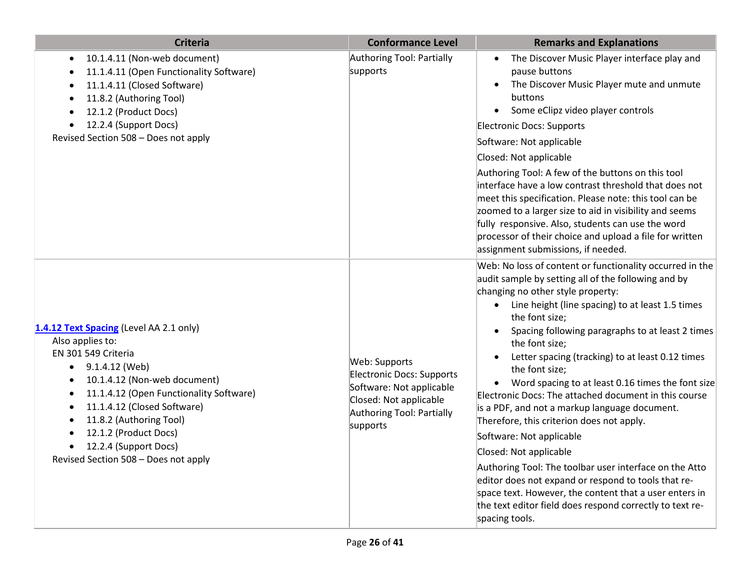| <b>Criteria</b>                                                                                                                                                                                                                                                                                                                          | <b>Conformance Level</b>                                                                                                                  | <b>Remarks and Explanations</b>                                                                                                                                                                                                                                                                                                                                                                                                                                                                                                                                                                                                                                                                                                                                                                                                                                                                     |
|------------------------------------------------------------------------------------------------------------------------------------------------------------------------------------------------------------------------------------------------------------------------------------------------------------------------------------------|-------------------------------------------------------------------------------------------------------------------------------------------|-----------------------------------------------------------------------------------------------------------------------------------------------------------------------------------------------------------------------------------------------------------------------------------------------------------------------------------------------------------------------------------------------------------------------------------------------------------------------------------------------------------------------------------------------------------------------------------------------------------------------------------------------------------------------------------------------------------------------------------------------------------------------------------------------------------------------------------------------------------------------------------------------------|
| 10.1.4.11 (Non-web document)<br>$\bullet$<br>11.1.4.11 (Open Functionality Software)<br>11.1.4.11 (Closed Software)<br>11.8.2 (Authoring Tool)<br>$\bullet$<br>12.1.2 (Product Docs)<br>12.2.4 (Support Docs)<br>٠<br>Revised Section 508 - Does not apply                                                                               | Authoring Tool: Partially<br>supports                                                                                                     | The Discover Music Player interface play and<br>pause buttons<br>The Discover Music Player mute and unmute<br>$\bullet$<br>buttons<br>Some eClipz video player controls<br>$\bullet$<br>Electronic Docs: Supports<br>Software: Not applicable<br>Closed: Not applicable<br>Authoring Tool: A few of the buttons on this tool<br>interface have a low contrast threshold that does not<br>meet this specification. Please note: this tool can be<br>zoomed to a larger size to aid in visibility and seems<br>fully responsive. Also, students can use the word<br>processor of their choice and upload a file for written<br>assignment submissions, if needed.                                                                                                                                                                                                                                     |
| 1.4.12 Text Spacing (Level AA 2.1 only)<br>Also applies to:<br>EN 301 549 Criteria<br>9.1.4.12 (Web)<br>٠<br>10.1.4.12 (Non-web document)<br>11.1.4.12 (Open Functionality Software)<br>11.1.4.12 (Closed Software)<br>11.8.2 (Authoring Tool)<br>12.1.2 (Product Docs)<br>12.2.4 (Support Docs)<br>Revised Section 508 - Does not apply | Web: Supports<br>Electronic Docs: Supports<br>Software: Not applicable<br>Closed: Not applicable<br>Authoring Tool: Partially<br>supports | Web: No loss of content or functionality occurred in the<br>audit sample by setting all of the following and by<br>changing no other style property:<br>• Line height (line spacing) to at least 1.5 times<br>the font size;<br>Spacing following paragraphs to at least 2 times<br>the font size;<br>Letter spacing (tracking) to at least 0.12 times<br>the font size;<br>Word spacing to at least 0.16 times the font size<br>Electronic Docs: The attached document in this course<br>is a PDF, and not a markup language document.<br>Therefore, this criterion does not apply.<br>Software: Not applicable<br>Closed: Not applicable<br>Authoring Tool: The toolbar user interface on the Atto<br>editor does not expand or respond to tools that re-<br>space text. However, the content that a user enters in<br>the text editor field does respond correctly to text re-<br>spacing tools. |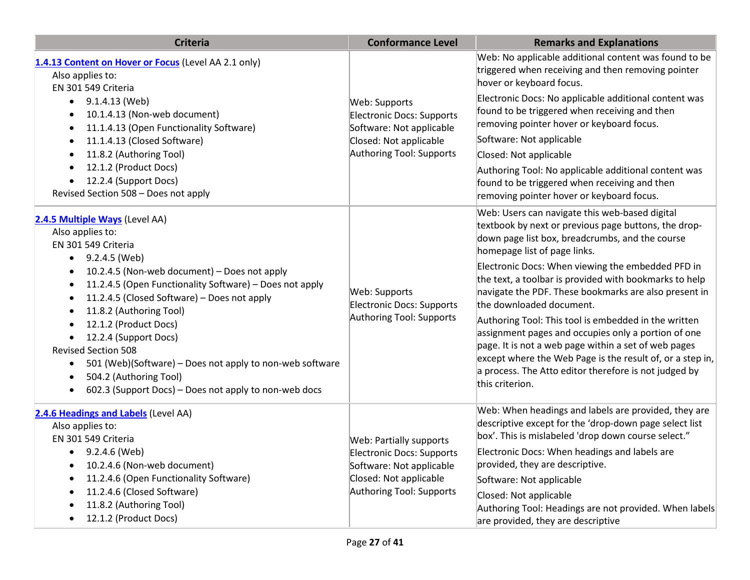| <b>Criteria</b>                                                                                                                                                                                                                                                                                                                                                                                                                                                                                                                                                                                             | <b>Conformance Level</b>                                                                                                               | <b>Remarks and Explanations</b>                                                                                                                                                                                                                                                                                                                                                                                                                                                                                                                                                                                                                                                                               |
|-------------------------------------------------------------------------------------------------------------------------------------------------------------------------------------------------------------------------------------------------------------------------------------------------------------------------------------------------------------------------------------------------------------------------------------------------------------------------------------------------------------------------------------------------------------------------------------------------------------|----------------------------------------------------------------------------------------------------------------------------------------|---------------------------------------------------------------------------------------------------------------------------------------------------------------------------------------------------------------------------------------------------------------------------------------------------------------------------------------------------------------------------------------------------------------------------------------------------------------------------------------------------------------------------------------------------------------------------------------------------------------------------------------------------------------------------------------------------------------|
| 1.4.13 Content on Hover or Focus (Level AA 2.1 only)<br>Also applies to:<br>EN 301 549 Criteria                                                                                                                                                                                                                                                                                                                                                                                                                                                                                                             |                                                                                                                                        | Web: No applicable additional content was found to be<br>triggered when receiving and then removing pointer<br>hover or keyboard focus.                                                                                                                                                                                                                                                                                                                                                                                                                                                                                                                                                                       |
| 9.1.4.13 (Web)<br>$\bullet$<br>10.1.4.13 (Non-web document)<br>11.1.4.13 (Open Functionality Software)<br>$\bullet$<br>11.1.4.13 (Closed Software)<br>$\bullet$<br>11.8.2 (Authoring Tool)<br>$\bullet$<br>12.1.2 (Product Docs)<br>$\bullet$<br>12.2.4 (Support Docs)<br>$\bullet$<br>Revised Section 508 - Does not apply                                                                                                                                                                                                                                                                                 | Web: Supports<br><b>Electronic Docs: Supports</b><br>Software: Not applicable<br>Closed: Not applicable<br>Authoring Tool: Supports    | Electronic Docs: No applicable additional content was<br>found to be triggered when receiving and then<br>removing pointer hover or keyboard focus.<br>Software: Not applicable<br>Closed: Not applicable<br>Authoring Tool: No applicable additional content was<br>found to be triggered when receiving and then<br>removing pointer hover or keyboard focus.                                                                                                                                                                                                                                                                                                                                               |
| 2.4.5 Multiple Ways (Level AA)<br>Also applies to:<br>EN 301 549 Criteria<br>9.2.4.5 (Web)<br>$\bullet$<br>10.2.4.5 (Non-web document) - Does not apply<br>٠<br>11.2.4.5 (Open Functionality Software) - Does not apply<br>$\bullet$<br>11.2.4.5 (Closed Software) - Does not apply<br>٠<br>11.8.2 (Authoring Tool)<br>٠<br>12.1.2 (Product Docs)<br>$\bullet$<br>12.2.4 (Support Docs)<br>$\bullet$<br><b>Revised Section 508</b><br>501 (Web)(Software) - Does not apply to non-web software<br>$\bullet$<br>504.2 (Authoring Tool)<br>$\bullet$<br>602.3 (Support Docs) – Does not apply to non-web docs | Web: Supports<br><b>Electronic Docs: Supports</b><br>Authoring Tool: Supports                                                          | Web: Users can navigate this web-based digital<br>textbook by next or previous page buttons, the drop-<br>down page list box, breadcrumbs, and the course<br>homepage list of page links.<br>Electronic Docs: When viewing the embedded PFD in<br>the text, a toolbar is provided with bookmarks to help<br>navigate the PDF. These bookmarks are also present in<br>the downloaded document.<br>Authoring Tool: This tool is embedded in the written<br>assignment pages and occupies only a portion of one<br>page. It is not a web page within a set of web pages<br>except where the Web Page is the result of, or a step in,<br>a process. The Atto editor therefore is not judged by<br>this criterion. |
| 2.4.6 Headings and Labels (Level AA)<br>Also applies to:<br>EN 301 549 Criteria<br>9.2.4.6 (Web)<br>$\bullet$<br>10.2.4.6 (Non-web document)<br>$\bullet$<br>11.2.4.6 (Open Functionality Software)<br>٠<br>11.2.4.6 (Closed Software)<br>$\bullet$<br>11.8.2 (Authoring Tool)<br>$\bullet$<br>12.1.2 (Product Docs)<br>$\bullet$                                                                                                                                                                                                                                                                           | Web: Partially supports<br>Electronic Docs: Supports<br>Software: Not applicable<br>Closed: Not applicable<br>Authoring Tool: Supports | Web: When headings and labels are provided, they are<br>descriptive except for the 'drop-down page select list<br>box'. This is mislabeled 'drop down course select."<br>Electronic Docs: When headings and labels are<br>provided, they are descriptive.<br>Software: Not applicable<br>Closed: Not applicable<br>Authoring Tool: Headings are not provided. When labels<br>are provided, they are descriptive                                                                                                                                                                                                                                                                                               |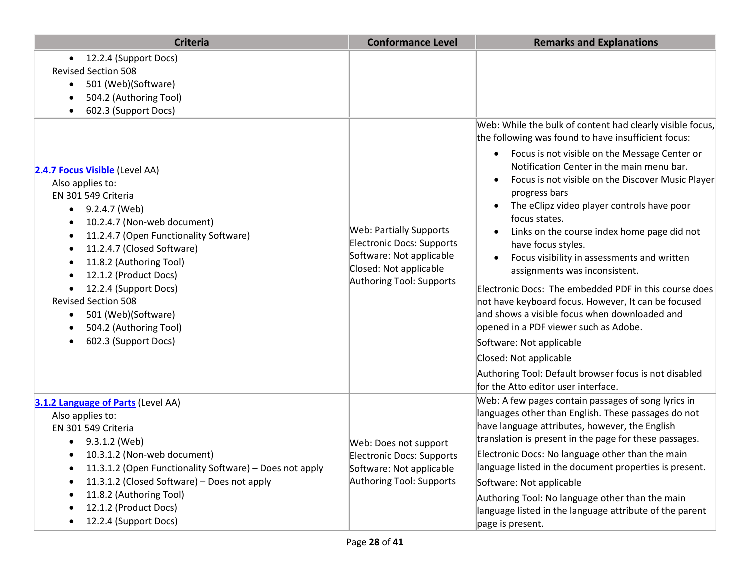| <b>Criteria</b>                                                                                                                                                                                                                                                                                                                                                                                    | <b>Conformance Level</b>                                                                                                                             | <b>Remarks and Explanations</b>                                                                                                                                                                                                                                                                                                                                                                                                                                                                                                                                                                                                                                                                                                                                                                                                                                 |
|----------------------------------------------------------------------------------------------------------------------------------------------------------------------------------------------------------------------------------------------------------------------------------------------------------------------------------------------------------------------------------------------------|------------------------------------------------------------------------------------------------------------------------------------------------------|-----------------------------------------------------------------------------------------------------------------------------------------------------------------------------------------------------------------------------------------------------------------------------------------------------------------------------------------------------------------------------------------------------------------------------------------------------------------------------------------------------------------------------------------------------------------------------------------------------------------------------------------------------------------------------------------------------------------------------------------------------------------------------------------------------------------------------------------------------------------|
| 12.2.4 (Support Docs)<br>$\bullet$<br><b>Revised Section 508</b><br>501 (Web)(Software)<br>$\bullet$<br>504.2 (Authoring Tool)<br>602.3 (Support Docs)                                                                                                                                                                                                                                             |                                                                                                                                                      | Web: While the bulk of content had clearly visible focus,                                                                                                                                                                                                                                                                                                                                                                                                                                                                                                                                                                                                                                                                                                                                                                                                       |
| 2.4.7 Focus Visible (Level AA)<br>Also applies to:<br>EN 301 549 Criteria<br>9.2.4.7 (Web)<br>10.2.4.7 (Non-web document)<br>11.2.4.7 (Open Functionality Software)<br>11.2.4.7 (Closed Software)<br>11.8.2 (Authoring Tool)<br>12.1.2 (Product Docs)<br>12.2.4 (Support Docs)<br><b>Revised Section 508</b><br>501 (Web)(Software)<br>$\bullet$<br>504.2 (Authoring Tool)<br>602.3 (Support Docs) | <b>Web: Partially Supports</b><br><b>Electronic Docs: Supports</b><br>Software: Not applicable<br>Closed: Not applicable<br>Authoring Tool: Supports | the following was found to have insufficient focus:<br>Focus is not visible on the Message Center or<br>$\bullet$<br>Notification Center in the main menu bar.<br>Focus is not visible on the Discover Music Player<br>progress bars<br>The eClipz video player controls have poor<br>$\bullet$<br>focus states.<br>Links on the course index home page did not<br>$\bullet$<br>have focus styles.<br>Focus visibility in assessments and written<br>$\bullet$<br>assignments was inconsistent.<br>Electronic Docs: The embedded PDF in this course does<br>not have keyboard focus. However, It can be focused<br>and shows a visible focus when downloaded and<br>opened in a PDF viewer such as Adobe.<br>Software: Not applicable<br>Closed: Not applicable<br>Authoring Tool: Default browser focus is not disabled<br>for the Atto editor user interface. |
| 3.1.2 Language of Parts (Level AA)<br>Also applies to:<br>EN 301 549 Criteria<br>9.3.1.2 (Web)<br>10.3.1.2 (Non-web document)<br>11.3.1.2 (Open Functionality Software) - Does not apply<br>11.3.1.2 (Closed Software) - Does not apply<br>11.8.2 (Authoring Tool)<br>12.1.2 (Product Docs)<br>12.2.4 (Support Docs)                                                                               | Web: Does not support<br>Electronic Docs: Supports<br>Software: Not applicable<br>Authoring Tool: Supports                                           | Web: A few pages contain passages of song lyrics in<br>languages other than English. These passages do not<br>have language attributes, however, the English<br>translation is present in the page for these passages.<br>Electronic Docs: No language other than the main<br>language listed in the document properties is present.<br>Software: Not applicable<br>Authoring Tool: No language other than the main<br>language listed in the language attribute of the parent<br>page is present.                                                                                                                                                                                                                                                                                                                                                              |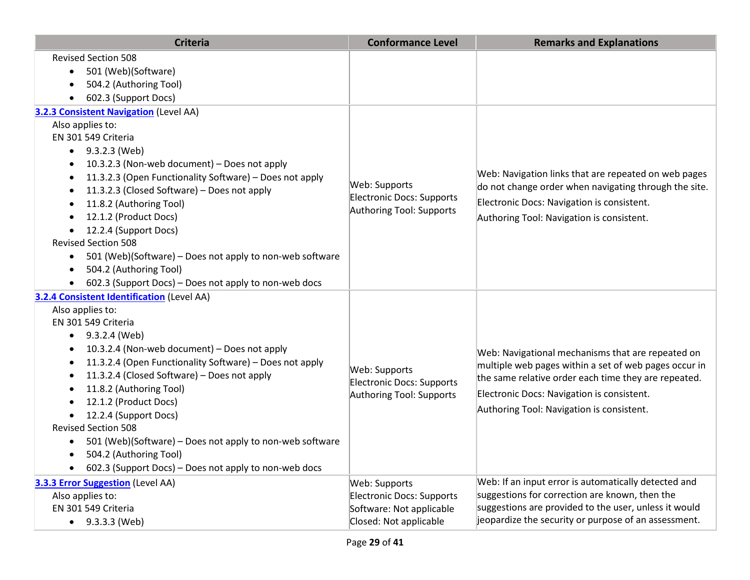| <b>Criteria</b>                                                                                                                                                                                                                                                                                                                                                                                                                                                                                                                                                                             | <b>Conformance Level</b>                                                                         | <b>Remarks and Explanations</b>                                                                                                                                                                                                                               |
|---------------------------------------------------------------------------------------------------------------------------------------------------------------------------------------------------------------------------------------------------------------------------------------------------------------------------------------------------------------------------------------------------------------------------------------------------------------------------------------------------------------------------------------------------------------------------------------------|--------------------------------------------------------------------------------------------------|---------------------------------------------------------------------------------------------------------------------------------------------------------------------------------------------------------------------------------------------------------------|
| <b>Revised Section 508</b><br>501 (Web)(Software)<br>$\bullet$<br>504.2 (Authoring Tool)<br>602.3 (Support Docs)                                                                                                                                                                                                                                                                                                                                                                                                                                                                            |                                                                                                  |                                                                                                                                                                                                                                                               |
| 3.2.3 Consistent Navigation (Level AA)<br>Also applies to:<br>EN 301 549 Criteria<br>$\bullet$ 9.3.2.3 (Web)<br>10.3.2.3 (Non-web document) - Does not apply<br>11.3.2.3 (Open Functionality Software) - Does not apply<br>11.3.2.3 (Closed Software) - Does not apply<br>$\bullet$<br>11.8.2 (Authoring Tool)<br>12.1.2 (Product Docs)<br>12.2.4 (Support Docs)<br><b>Revised Section 508</b><br>501 (Web)(Software) – Does not apply to non-web software<br>$\bullet$<br>504.2 (Authoring Tool)<br>$\bullet$<br>602.3 (Support Docs) – Does not apply to non-web docs                     | Web: Supports<br>Electronic Docs: Supports<br>Authoring Tool: Supports                           | Web: Navigation links that are repeated on web pages<br>do not change order when navigating through the site.<br>Electronic Docs: Navigation is consistent.<br>Authoring Tool: Navigation is consistent.                                                      |
| 3.2.4 Consistent Identification (Level AA)<br>Also applies to:<br>EN 301 549 Criteria<br>9.3.2.4 (Web)<br>$\bullet$<br>10.3.2.4 (Non-web document) - Does not apply<br>$\bullet$<br>11.3.2.4 (Open Functionality Software) - Does not apply<br>$\bullet$<br>11.3.2.4 (Closed Software) - Does not apply<br>11.8.2 (Authoring Tool)<br>12.1.2 (Product Docs)<br>12.2.4 (Support Docs)<br><b>Revised Section 508</b><br>501 (Web)(Software) - Does not apply to non-web software<br>504.2 (Authoring Tool)<br>$\bullet$<br>602.3 (Support Docs) - Does not apply to non-web docs<br>$\bullet$ | Web: Supports<br>Electronic Docs: Supports<br>Authoring Tool: Supports                           | Web: Navigational mechanisms that are repeated on<br>multiple web pages within a set of web pages occur in<br>the same relative order each time they are repeated.<br>Electronic Docs: Navigation is consistent.<br>Authoring Tool: Navigation is consistent. |
| <b>3.3.3 Error Suggestion (Level AA)</b><br>Also applies to:<br>EN 301 549 Criteria<br>9.3.3.3 (Web)                                                                                                                                                                                                                                                                                                                                                                                                                                                                                        | Web: Supports<br>Electronic Docs: Supports<br>Software: Not applicable<br>Closed: Not applicable | Web: If an input error is automatically detected and<br>suggestions for correction are known, then the<br>suggestions are provided to the user, unless it would<br>jeopardize the security or purpose of an assessment.                                       |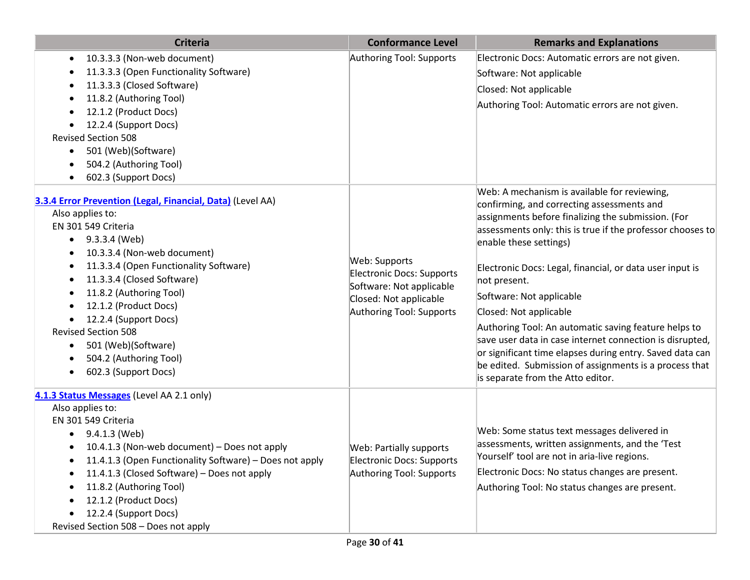| <b>Criteria</b>                                                                                                                                                                                                                                                                                                                                                                                                                                          | <b>Conformance Level</b>                                                                                                     | <b>Remarks and Explanations</b>                                                                                                                                                                                                                                                                                                                                                                                                                                                                                                                                                                                                                           |
|----------------------------------------------------------------------------------------------------------------------------------------------------------------------------------------------------------------------------------------------------------------------------------------------------------------------------------------------------------------------------------------------------------------------------------------------------------|------------------------------------------------------------------------------------------------------------------------------|-----------------------------------------------------------------------------------------------------------------------------------------------------------------------------------------------------------------------------------------------------------------------------------------------------------------------------------------------------------------------------------------------------------------------------------------------------------------------------------------------------------------------------------------------------------------------------------------------------------------------------------------------------------|
| 10.3.3.3 (Non-web document)<br>$\bullet$                                                                                                                                                                                                                                                                                                                                                                                                                 | Authoring Tool: Supports                                                                                                     | Electronic Docs: Automatic errors are not given.                                                                                                                                                                                                                                                                                                                                                                                                                                                                                                                                                                                                          |
| 11.3.3.3 (Open Functionality Software)                                                                                                                                                                                                                                                                                                                                                                                                                   |                                                                                                                              | Software: Not applicable                                                                                                                                                                                                                                                                                                                                                                                                                                                                                                                                                                                                                                  |
| 11.3.3.3 (Closed Software)                                                                                                                                                                                                                                                                                                                                                                                                                               |                                                                                                                              | Closed: Not applicable                                                                                                                                                                                                                                                                                                                                                                                                                                                                                                                                                                                                                                    |
| 11.8.2 (Authoring Tool)                                                                                                                                                                                                                                                                                                                                                                                                                                  |                                                                                                                              | Authoring Tool: Automatic errors are not given.                                                                                                                                                                                                                                                                                                                                                                                                                                                                                                                                                                                                           |
| 12.1.2 (Product Docs)                                                                                                                                                                                                                                                                                                                                                                                                                                    |                                                                                                                              |                                                                                                                                                                                                                                                                                                                                                                                                                                                                                                                                                                                                                                                           |
| 12.2.4 (Support Docs)                                                                                                                                                                                                                                                                                                                                                                                                                                    |                                                                                                                              |                                                                                                                                                                                                                                                                                                                                                                                                                                                                                                                                                                                                                                                           |
| <b>Revised Section 508</b>                                                                                                                                                                                                                                                                                                                                                                                                                               |                                                                                                                              |                                                                                                                                                                                                                                                                                                                                                                                                                                                                                                                                                                                                                                                           |
| 501 (Web)(Software)<br>$\bullet$                                                                                                                                                                                                                                                                                                                                                                                                                         |                                                                                                                              |                                                                                                                                                                                                                                                                                                                                                                                                                                                                                                                                                                                                                                                           |
| 504.2 (Authoring Tool)                                                                                                                                                                                                                                                                                                                                                                                                                                   |                                                                                                                              |                                                                                                                                                                                                                                                                                                                                                                                                                                                                                                                                                                                                                                                           |
| 602.3 (Support Docs)<br>$\bullet$                                                                                                                                                                                                                                                                                                                                                                                                                        |                                                                                                                              |                                                                                                                                                                                                                                                                                                                                                                                                                                                                                                                                                                                                                                                           |
| 3.3.4 Error Prevention (Legal, Financial, Data) (Level AA)<br>Also applies to:<br>EN 301 549 Criteria<br>9.3.3.4 (Web)<br>$\bullet$<br>10.3.3.4 (Non-web document)<br>11.3.3.4 (Open Functionality Software)<br>11.3.3.4 (Closed Software)<br>11.8.2 (Authoring Tool)<br>12.1.2 (Product Docs)<br>12.2.4 (Support Docs)<br><b>Revised Section 508</b><br>501 (Web)(Software)<br>$\bullet$<br>504.2 (Authoring Tool)<br>602.3 (Support Docs)<br>$\bullet$ | Web: Supports<br>Electronic Docs: Supports<br>Software: Not applicable<br>Closed: Not applicable<br>Authoring Tool: Supports | Web: A mechanism is available for reviewing,<br>confirming, and correcting assessments and<br>assignments before finalizing the submission. (For<br>assessments only: this is true if the professor chooses to<br>enable these settings)<br>Electronic Docs: Legal, financial, or data user input is<br>not present.<br>Software: Not applicable<br>Closed: Not applicable<br>Authoring Tool: An automatic saving feature helps to<br>save user data in case internet connection is disrupted,<br>or significant time elapses during entry. Saved data can<br>be edited. Submission of assignments is a process that<br>is separate from the Atto editor. |
| 4.1.3 Status Messages (Level AA 2.1 only)<br>Also applies to:<br>EN 301 549 Criteria<br>9.4.1.3 (Web)<br>$\bullet$<br>10.4.1.3 (Non-web document) - Does not apply<br>$\bullet$<br>11.4.1.3 (Open Functionality Software) - Does not apply<br>11.4.1.3 (Closed Software) - Does not apply<br>11.8.2 (Authoring Tool)<br>12.1.2 (Product Docs)<br>12.2.4 (Support Docs)<br>Revised Section 508 - Does not apply                                           | <b>Web: Partially supports</b><br><b>Electronic Docs: Supports</b><br>Authoring Tool: Supports                               | Web: Some status text messages delivered in<br>assessments, written assignments, and the 'Test<br>Yourself' tool are not in aria-live regions.<br>Electronic Docs: No status changes are present.<br>Authoring Tool: No status changes are present.                                                                                                                                                                                                                                                                                                                                                                                                       |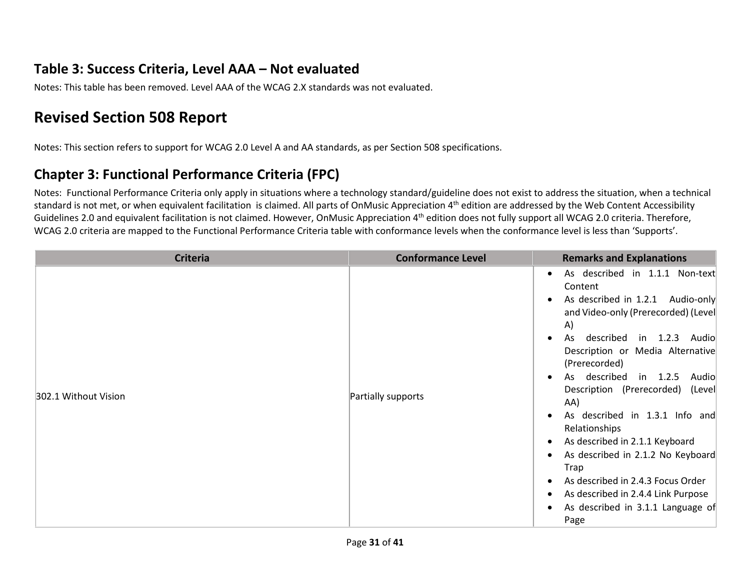#### **Table 3: Success Criteria, Level AAA – Not evaluated**

Notes: This table has been removed. Level AAA of the WCAG 2.X standards was not evaluated.

## **Revised Section 508 Report**

Notes: This section refers to support for WCAG 2.0 Level A and AA standards, as per Section 508 specifications.

#### **Chapter 3: Functional Performance Criteria (FPC)**

Notes: Functional Performance Criteria only apply in situations where a technology standard/guideline does not exist to address the situation, when a technical standard is not met, or when equivalent facilitation is claimed. All parts of OnMusic Appreciation 4<sup>th</sup> edition are addressed by the Web Content Accessibility Guidelines 2.0 and equivalent facilitation is not claimed. However, OnMusic Appreciation 4<sup>th</sup> edition does not fully support all WCAG 2.0 criteria. Therefore, WCAG 2.0 criteria are mapped to the Functional Performance Criteria table with conformance levels when the conformance level is less than 'Supports'.

| <b>Criteria</b>      | <b>Conformance Level</b> | <b>Remarks and Explanations</b>                                                                                                                                                                                                                                                                                                                                                                                                                                                                                                                             |
|----------------------|--------------------------|-------------------------------------------------------------------------------------------------------------------------------------------------------------------------------------------------------------------------------------------------------------------------------------------------------------------------------------------------------------------------------------------------------------------------------------------------------------------------------------------------------------------------------------------------------------|
| 302.1 Without Vision | Partially supports       | As described in 1.1.1 Non-text<br>Content<br>As described in 1.2.1 Audio-only<br>and Video-only (Prerecorded) (Level<br>A)<br>described in 1.2.3 Audio<br>As<br>Description or Media Alternative<br>(Prerecorded)<br>As described in 1.2.5<br>Audio<br>Description (Prerecorded)<br>(Level<br>AA)<br>As described in 1.3.1 Info and<br>Relationships<br>As described in 2.1.1 Keyboard<br>As described in 2.1.2 No Keyboard<br>Trap<br>As described in 2.4.3 Focus Order<br>As described in 2.4.4 Link Purpose<br>As described in 3.1.1 Language of<br>Page |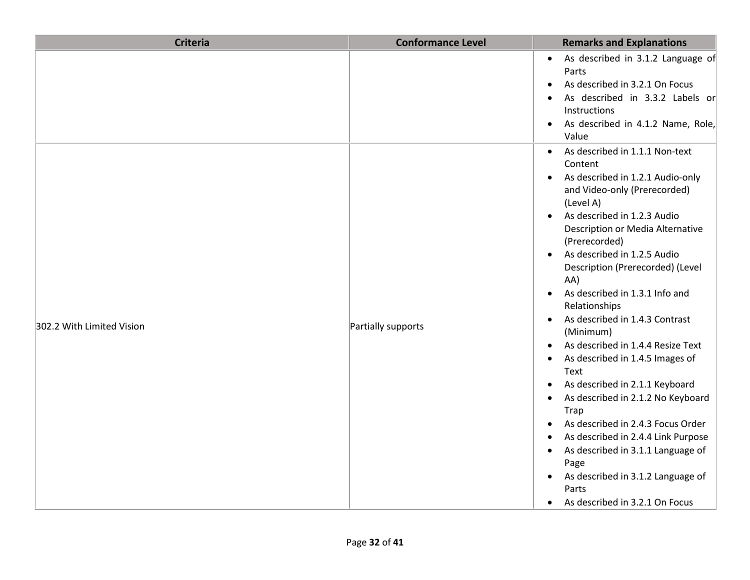| <b>Criteria</b>           | <b>Conformance Level</b> | <b>Remarks and Explanations</b>                                                                                                                                                                                                                                                                                                                                                                                                                                                                                                                                                                                                                                                                                                                                                                                                                                                                                                            |
|---------------------------|--------------------------|--------------------------------------------------------------------------------------------------------------------------------------------------------------------------------------------------------------------------------------------------------------------------------------------------------------------------------------------------------------------------------------------------------------------------------------------------------------------------------------------------------------------------------------------------------------------------------------------------------------------------------------------------------------------------------------------------------------------------------------------------------------------------------------------------------------------------------------------------------------------------------------------------------------------------------------------|
|                           |                          | As described in 3.1.2 Language of<br>$\bullet$<br>Parts<br>As described in 3.2.1 On Focus<br>$\bullet$<br>As described in 3.3.2 Labels or<br>Instructions<br>As described in 4.1.2 Name, Role,<br>$\bullet$<br>Value                                                                                                                                                                                                                                                                                                                                                                                                                                                                                                                                                                                                                                                                                                                       |
| 302.2 With Limited Vision | Partially supports       | As described in 1.1.1 Non-text<br>$\bullet$<br>Content<br>As described in 1.2.1 Audio-only<br>$\bullet$<br>and Video-only (Prerecorded)<br>(Level A)<br>As described in 1.2.3 Audio<br>$\bullet$<br>Description or Media Alternative<br>(Prerecorded)<br>As described in 1.2.5 Audio<br>$\bullet$<br>Description (Prerecorded) (Level<br>AA)<br>As described in 1.3.1 Info and<br>$\bullet$<br>Relationships<br>As described in 1.4.3 Contrast<br>$\bullet$<br>(Minimum)<br>As described in 1.4.4 Resize Text<br>$\bullet$<br>As described in 1.4.5 Images of<br>$\bullet$<br>Text<br>As described in 2.1.1 Keyboard<br>$\bullet$<br>As described in 2.1.2 No Keyboard<br>$\bullet$<br>Trap<br>As described in 2.4.3 Focus Order<br>As described in 2.4.4 Link Purpose<br>As described in 3.1.1 Language of<br>$\bullet$<br>Page<br>As described in 3.1.2 Language of<br>$\bullet$<br>Parts<br>As described in 3.2.1 On Focus<br>$\bullet$ |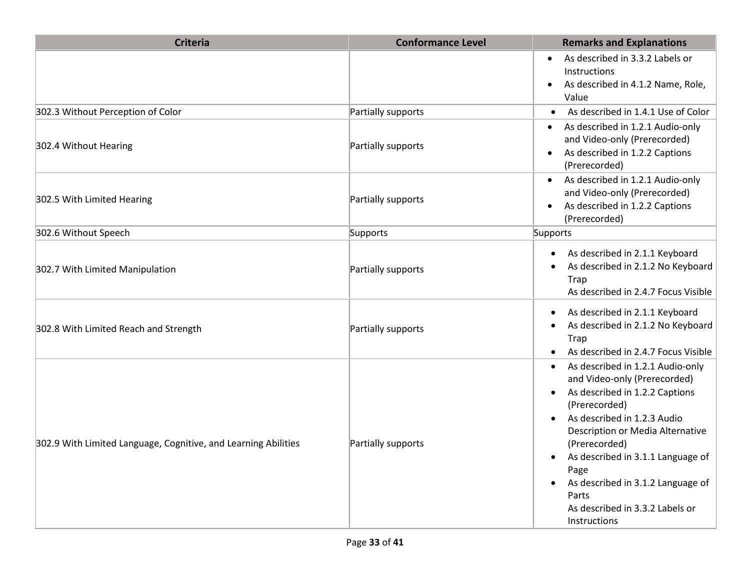| <b>Criteria</b>                                                | <b>Conformance Level</b> | <b>Remarks and Explanations</b>                                                                                                                                                                                                                                                                                                                       |
|----------------------------------------------------------------|--------------------------|-------------------------------------------------------------------------------------------------------------------------------------------------------------------------------------------------------------------------------------------------------------------------------------------------------------------------------------------------------|
|                                                                |                          | As described in 3.3.2 Labels or<br>$\bullet$<br>Instructions<br>As described in 4.1.2 Name, Role,<br>$\bullet$<br>Value                                                                                                                                                                                                                               |
| 302.3 Without Perception of Color                              | Partially supports       | As described in 1.4.1 Use of Color                                                                                                                                                                                                                                                                                                                    |
| 302.4 Without Hearing                                          | Partially supports       | As described in 1.2.1 Audio-only<br>$\bullet$<br>and Video-only (Prerecorded)<br>As described in 1.2.2 Captions<br>$\bullet$<br>(Prerecorded)                                                                                                                                                                                                         |
| 302.5 With Limited Hearing                                     | Partially supports       | As described in 1.2.1 Audio-only<br>$\bullet$<br>and Video-only (Prerecorded)<br>As described in 1.2.2 Captions<br>$\bullet$<br>(Prerecorded)                                                                                                                                                                                                         |
| 302.6 Without Speech                                           | Supports                 | Supports                                                                                                                                                                                                                                                                                                                                              |
| 302.7 With Limited Manipulation                                | Partially supports       | As described in 2.1.1 Keyboard<br>As described in 2.1.2 No Keyboard<br>Trap<br>As described in 2.4.7 Focus Visible                                                                                                                                                                                                                                    |
| 302.8 With Limited Reach and Strength                          | Partially supports       | As described in 2.1.1 Keyboard<br>As described in 2.1.2 No Keyboard<br><b>Trap</b><br>As described in 2.4.7 Focus Visible                                                                                                                                                                                                                             |
| 302.9 With Limited Language, Cognitive, and Learning Abilities | Partially supports       | As described in 1.2.1 Audio-only<br>and Video-only (Prerecorded)<br>As described in 1.2.2 Captions<br>(Prerecorded)<br>As described in 1.2.3 Audio<br>Description or Media Alternative<br>(Prerecorded)<br>As described in 3.1.1 Language of<br>Page<br>As described in 3.1.2 Language of<br>Parts<br>As described in 3.3.2 Labels or<br>Instructions |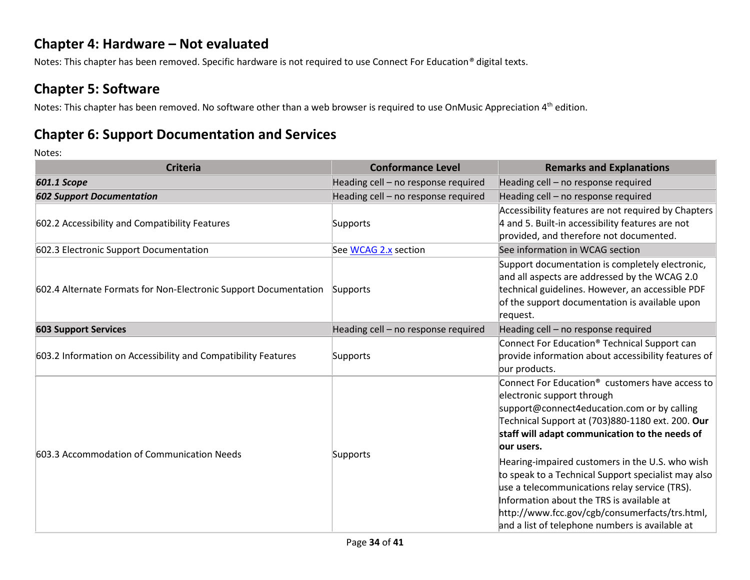#### **Chapter 4: Hardware – Not evaluated**

Notes: This chapter has been removed. Specific hardware is not required to use Connect For Education*®* digital texts.

#### **Chapter 5: Software**

Notes: This chapter has been removed. No software other than a web browser is required to use OnMusic Appreciation 4<sup>th</sup> edition.

#### **Chapter 6: Support Documentation and Services**

| <b>Criteria</b>                                                  | <b>Conformance Level</b>            | <b>Remarks and Explanations</b>                                                                                                                                                                                                                                                                                                                                                                                                                                                                                                                                            |
|------------------------------------------------------------------|-------------------------------------|----------------------------------------------------------------------------------------------------------------------------------------------------------------------------------------------------------------------------------------------------------------------------------------------------------------------------------------------------------------------------------------------------------------------------------------------------------------------------------------------------------------------------------------------------------------------------|
| <b>601.1 Scope</b>                                               | Heading cell - no response required | Heading cell - no response required                                                                                                                                                                                                                                                                                                                                                                                                                                                                                                                                        |
| <b>602 Support Documentation</b>                                 | Heading cell - no response required | Heading cell - no response required                                                                                                                                                                                                                                                                                                                                                                                                                                                                                                                                        |
| 602.2 Accessibility and Compatibility Features                   | Supports                            | Accessibility features are not required by Chapters<br>4 and 5. Built-in accessibility features are not<br>provided, and therefore not documented.                                                                                                                                                                                                                                                                                                                                                                                                                         |
| 602.3 Electronic Support Documentation                           | See WCAG 2.x section                | See information in WCAG section                                                                                                                                                                                                                                                                                                                                                                                                                                                                                                                                            |
| 602.4 Alternate Formats for Non-Electronic Support Documentation | Supports                            | Support documentation is completely electronic,<br>and all aspects are addressed by the WCAG 2.0<br>technical guidelines. However, an accessible PDF<br>of the support documentation is available upon<br>request.                                                                                                                                                                                                                                                                                                                                                         |
| <b>603 Support Services</b>                                      | Heading cell - no response required | Heading cell - no response required                                                                                                                                                                                                                                                                                                                                                                                                                                                                                                                                        |
| 603.2 Information on Accessibility and Compatibility Features    | Supports                            | Connect For Education <sup>®</sup> Technical Support can<br>provide information about accessibility features of<br>our products.                                                                                                                                                                                                                                                                                                                                                                                                                                           |
| 603.3 Accommodation of Communication Needs                       | Supports                            | Connect For Education <sup>®</sup> customers have access to<br>electronic support through<br>support@connect4education.com or by calling<br>Technical Support at (703)880-1180 ext. 200. Our<br>staff will adapt communication to the needs of<br>lour users.<br>Hearing-impaired customers in the U.S. who wish<br>to speak to a Technical Support specialist may also<br>use a telecommunications relay service (TRS).<br>Information about the TRS is available at<br>http://www.fcc.gov/cgb/consumerfacts/trs.html,<br>and a list of telephone numbers is available at |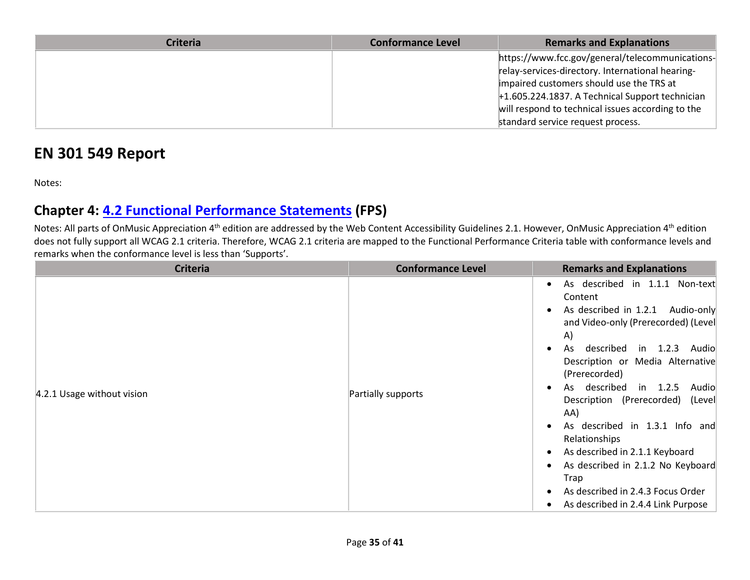| <b>Criteria</b> | <b>Conformance Level</b> | <b>Remarks and Explanations</b>                   |
|-----------------|--------------------------|---------------------------------------------------|
|                 |                          | https://www.fcc.gov/general/telecommunications-   |
|                 |                          | relay-services-directory. International hearing-  |
|                 |                          | impaired customers should use the TRS at          |
|                 |                          | $+1.605.224.1837.$ A Technical Support technician |
|                 |                          | will respond to technical issues according to the |
|                 |                          | standard service request process.                 |

## **EN 301 549 Report**

Notes:

### **Chapter 4: [4.2 Functional Performance Statements](http://www.etsi.org/deliver/etsi_en/301500_301599/301549/01.01.02_60/en_301549v010102p.pdf#page=22) (FPS)**

Notes: All parts of OnMusic Appreciation 4<sup>th</sup> edition are addressed by the Web Content Accessibility Guidelines 2.1. However, OnMusic Appreciation 4<sup>th</sup> edition does not fully support all WCAG 2.1 criteria. Therefore, WCAG 2.1 criteria are mapped to the Functional Performance Criteria table with conformance levels and remarks when the conformance level is less than 'Supports'.

| <b>Criteria</b>            | <b>Conformance Level</b> | <b>Remarks and Explanations</b>                                                                                                                                                                                                                                                                                                                                                                                                                                                                          |
|----------------------------|--------------------------|----------------------------------------------------------------------------------------------------------------------------------------------------------------------------------------------------------------------------------------------------------------------------------------------------------------------------------------------------------------------------------------------------------------------------------------------------------------------------------------------------------|
| 4.2.1 Usage without vision | Partially supports       | As described in 1.1.1 Non-text<br>Content<br>As described in 1.2.1 Audio-only<br>and Video-only (Prerecorded) (Level<br>A)<br>described in 1.2.3 Audio<br>As<br>Description or Media Alternative<br>(Prerecorded)<br>As described in 1.2.5 Audio<br>Description (Prerecorded) (Level<br>AA)<br>As described in 1.3.1 Info and<br>Relationships<br>As described in 2.1.1 Keyboard<br>As described in 2.1.2 No Keyboard<br>Trap<br>As described in 2.4.3 Focus Order<br>As described in 2.4.4 Link Purpose |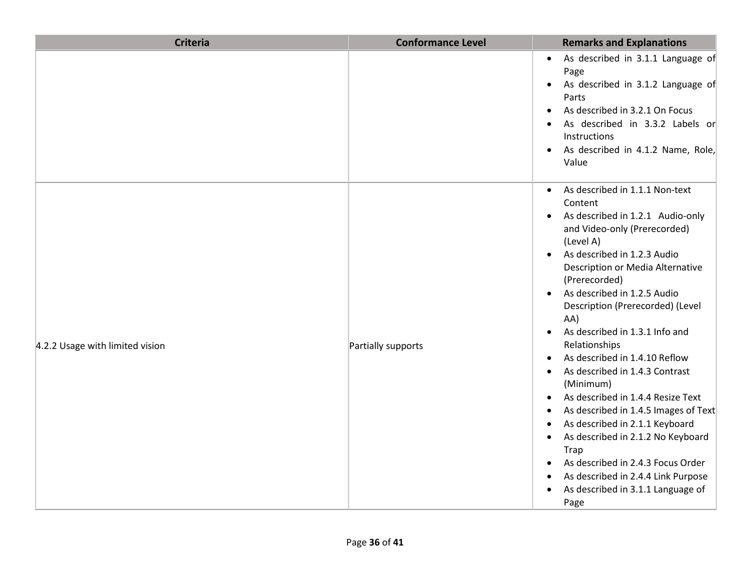| <b>Criteria</b>                 | <b>Conformance Level</b> | <b>Remarks and Explanations</b>                                                                                                                                                                                                                                                                                                                                                                                                                                                                                                                                                                                                                                                                                                                                                                                                                                                                      |
|---------------------------------|--------------------------|------------------------------------------------------------------------------------------------------------------------------------------------------------------------------------------------------------------------------------------------------------------------------------------------------------------------------------------------------------------------------------------------------------------------------------------------------------------------------------------------------------------------------------------------------------------------------------------------------------------------------------------------------------------------------------------------------------------------------------------------------------------------------------------------------------------------------------------------------------------------------------------------------|
|                                 |                          | As described in 3.1.1 Language of<br>$\bullet$<br>Page<br>As described in 3.1.2 Language of<br>$\bullet$<br>Parts<br>As described in 3.2.1 On Focus<br>$\bullet$<br>As described in 3.3.2 Labels or<br>Instructions<br>As described in 4.1.2 Name, Role,<br>$\bullet$<br>Value                                                                                                                                                                                                                                                                                                                                                                                                                                                                                                                                                                                                                       |
| 4.2.2 Usage with limited vision | Partially supports       | As described in 1.1.1 Non-text<br>$\bullet$<br>Content<br>As described in 1.2.1 Audio-only<br>$\bullet$<br>and Video-only (Prerecorded)<br>(Level A)<br>As described in 1.2.3 Audio<br>$\bullet$<br>Description or Media Alternative<br>(Prerecorded)<br>As described in 1.2.5 Audio<br>$\bullet$<br>Description (Prerecorded) (Level<br>AA)<br>As described in 1.3.1 Info and<br>$\bullet$<br>Relationships<br>As described in 1.4.10 Reflow<br>$\bullet$<br>As described in 1.4.3 Contrast<br>$\bullet$<br>(Minimum)<br>As described in 1.4.4 Resize Text<br>$\bullet$<br>As described in 1.4.5 Images of Text<br>٠<br>As described in 2.1.1 Keyboard<br>$\bullet$<br>As described in 2.1.2 No Keyboard<br>$\bullet$<br><b>Trap</b><br>As described in 2.4.3 Focus Order<br>$\bullet$<br>As described in 2.4.4 Link Purpose<br>$\bullet$<br>As described in 3.1.1 Language of<br>$\bullet$<br>Page |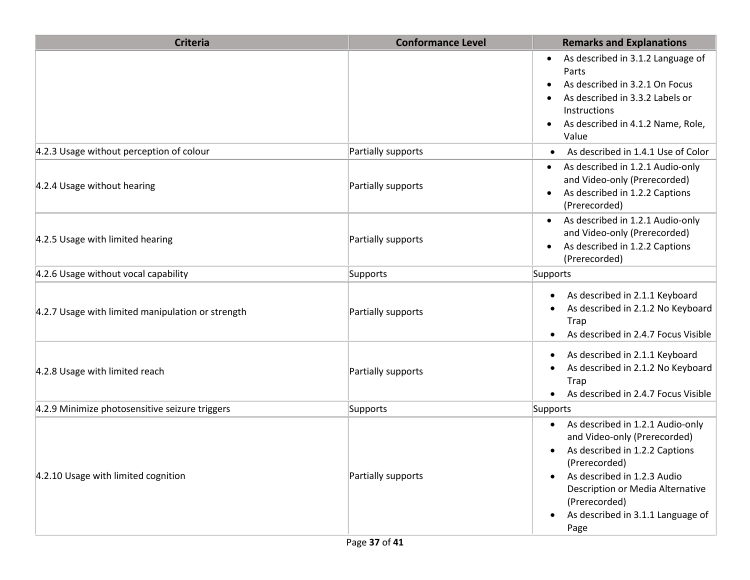| <b>Criteria</b>                                   | <b>Conformance Level</b> | <b>Remarks and Explanations</b>                                                                                                                                                                                                                                                |
|---------------------------------------------------|--------------------------|--------------------------------------------------------------------------------------------------------------------------------------------------------------------------------------------------------------------------------------------------------------------------------|
|                                                   |                          | As described in 3.1.2 Language of<br>Parts<br>As described in 3.2.1 On Focus<br>As described in 3.3.2 Labels or<br>Instructions<br>As described in 4.1.2 Name, Role,<br>$\bullet$<br>Value                                                                                     |
| 4.2.3 Usage without perception of colour          | Partially supports       | As described in 1.4.1 Use of Color                                                                                                                                                                                                                                             |
| 4.2.4 Usage without hearing                       | Partially supports       | As described in 1.2.1 Audio-only<br>and Video-only (Prerecorded)<br>As described in 1.2.2 Captions<br>$\bullet$<br>(Prerecorded)                                                                                                                                               |
| 4.2.5 Usage with limited hearing                  | Partially supports       | As described in 1.2.1 Audio-only<br>and Video-only (Prerecorded)<br>As described in 1.2.2 Captions<br>(Prerecorded)                                                                                                                                                            |
| 4.2.6 Usage without vocal capability              | Supports                 | Supports                                                                                                                                                                                                                                                                       |
| 4.2.7 Usage with limited manipulation or strength | Partially supports       | As described in 2.1.1 Keyboard<br>$\bullet$<br>As described in 2.1.2 No Keyboard<br>Trap<br>As described in 2.4.7 Focus Visible                                                                                                                                                |
| 4.2.8 Usage with limited reach                    | Partially supports       | As described in 2.1.1 Keyboard<br>$\bullet$<br>As described in 2.1.2 No Keyboard<br>Trap<br>As described in 2.4.7 Focus Visible                                                                                                                                                |
| 4.2.9 Minimize photosensitive seizure triggers    | Supports                 | Supports                                                                                                                                                                                                                                                                       |
| 4.2.10 Usage with limited cognition               | Partially supports       | As described in 1.2.1 Audio-only<br>$\bullet$<br>and Video-only (Prerecorded)<br>As described in 1.2.2 Captions<br>(Prerecorded)<br>As described in 1.2.3 Audio<br>Description or Media Alternative<br>(Prerecorded)<br>As described in 3.1.1 Language of<br>$\bullet$<br>Page |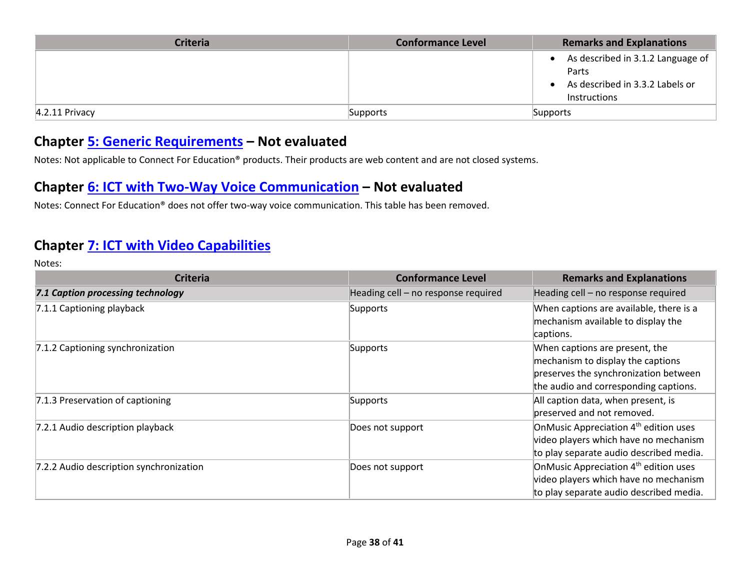| <b>Criteria</b>   | <b>Conformance Level</b> | <b>Remarks and Explanations</b>                                                                       |
|-------------------|--------------------------|-------------------------------------------------------------------------------------------------------|
|                   |                          | As described in 3.1.2 Language of $\vert$<br>Parts<br>As described in 3.3.2 Labels or<br>Instructions |
| $ 4.2.11$ Privacy | Supports                 | Supports                                                                                              |

#### **Chapter [5: Generic Requirements](http://www.etsi.org/deliver/etsi_en/301500_301599/301549/01.01.02_60/en_301549v010102p.pdf#page=23) – Not evaluated**

Notes: Not applicable to Connect For Education® products. Their products are web content and are not closed systems.

#### **Chapter [6: ICT with Two-Way Voice Communication](http://www.etsi.org/deliver/etsi_en/301500_301599/301549/01.01.02_60/en_301549v010102p.pdf#page=28) – Not evaluated**

Notes: Connect For Education® does not offer two-way voice communication. This table has been removed.

#### **Chapter [7: ICT with Video Capabilities](http://www.etsi.org/deliver/etsi_en/301500_301599/301549/01.01.02_60/en_301549v010102p.pdf#page=31)**

| <b>Criteria</b>                         | <b>Conformance Level</b>            | <b>Remarks and Explanations</b>                                                                                                                       |
|-----------------------------------------|-------------------------------------|-------------------------------------------------------------------------------------------------------------------------------------------------------|
| 7.1 Caption processing technology       | Heading cell - no response required | Heading cell - no response required                                                                                                                   |
| 7.1.1 Captioning playback               | Supports                            | When captions are available, there is a<br>mechanism available to display the                                                                         |
|                                         |                                     | captions.                                                                                                                                             |
| 7.1.2 Captioning synchronization        | Supports                            | When captions are present, the<br>mechanism to display the captions<br>preserves the synchronization between<br>the audio and corresponding captions. |
| 7.1.3 Preservation of captioning        | Supports                            | All caption data, when present, is<br>preserved and not removed.                                                                                      |
| 7.2.1 Audio description playback        | Does not support                    | OnMusic Appreciation 4 <sup>th</sup> edition uses<br>video players which have no mechanism<br>to play separate audio described media.                 |
| 7.2.2 Audio description synchronization | Does not support                    | OnMusic Appreciation 4 <sup>th</sup> edition uses<br>video players which have no mechanism<br>to play separate audio described media.                 |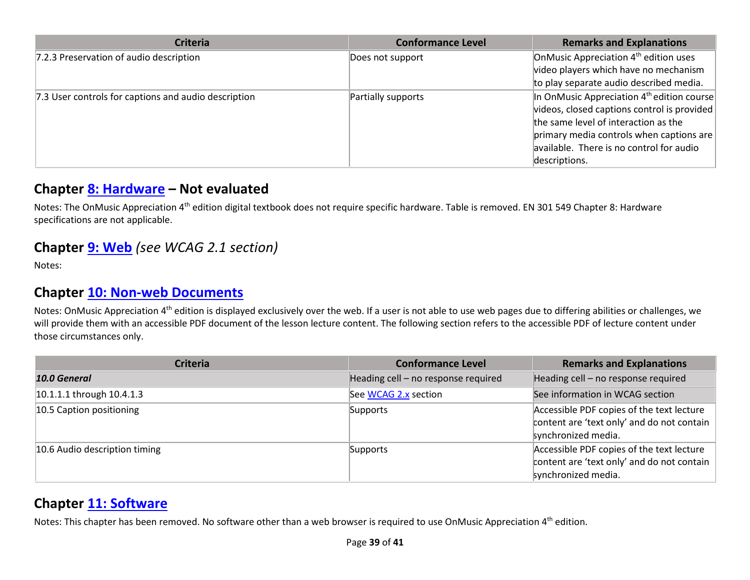| <b>Criteria</b>                                      | <b>Conformance Level</b> | <b>Remarks and Explanations</b>                   |
|------------------------------------------------------|--------------------------|---------------------------------------------------|
| 7.2.3 Preservation of audio description              | Does not support         | OnMusic Appreciation 4 <sup>th</sup> edition uses |
|                                                      |                          | video players which have no mechanism             |
|                                                      |                          | to play separate audio described media.           |
| 7.3 User controls for captions and audio description | Partially supports       | In OnMusic Appreciation $4th$ edition course      |
|                                                      |                          | videos, closed captions control is provided       |
|                                                      |                          | the same level of interaction as the              |
|                                                      |                          | primary media controls when captions are          |
|                                                      |                          | available. There is no control for audio          |
|                                                      |                          | descriptions.                                     |

#### **Chapter [8: Hardware](http://www.etsi.org/deliver/etsi_en/301500_301599/301549/01.01.02_60/en_301549v010102p.pdf#page=32) – Not evaluated**

Notes: The OnMusic Appreciation 4<sup>th</sup> edition digital textbook does not require specific hardware. Table is removed. EN 301 549 Chapter 8: Hardware specifications are not applicable.

#### **Chapter [9: Web](http://www.etsi.org/deliver/etsi_en/301500_301599/301549/01.01.02_60/en_301549v010102p.pdf#page=39)** *(see WCAG 2.1 section)*

Notes:

#### **Chapter [10: Non-web Documents](http://www.etsi.org/deliver/etsi_en/301500_301599/301549/01.01.02_60/en_301549v010102p.pdf#page=43)**

Notes: OnMusic Appreciation 4<sup>th</sup> edition is displayed exclusively over the web. If a user is not able to use web pages due to differing abilities or challenges, we will provide them with an accessible PDF document of the lesson lecture content. The following section refers to the accessible PDF of lecture content under those circumstances only.

| <b>Criteria</b>               | <b>Conformance Level</b>            | <b>Remarks and Explanations</b>                                                                                |
|-------------------------------|-------------------------------------|----------------------------------------------------------------------------------------------------------------|
| 10.0 General                  | Heading cell - no response required | Heading cell - no response required                                                                            |
| 10.1.1.1 through 10.4.1.3     | See WCAG 2.x section                | See information in WCAG section                                                                                |
| 10.5 Caption positioning      | Supports                            | Accessible PDF copies of the text lecture<br>content are 'text only' and do not contain<br>synchronized media. |
| 10.6 Audio description timing | Supports                            | Accessible PDF copies of the text lecture<br>content are 'text only' and do not contain<br>synchronized media. |

#### **Chapter [11: Software](http://www.etsi.org/deliver/etsi_en/301500_301599/301549/01.01.02_60/en_301549v010102p.pdf#page=53)**

Notes: This chapter has been removed. No software other than a web browser is required to use OnMusic Appreciation 4<sup>th</sup> edition.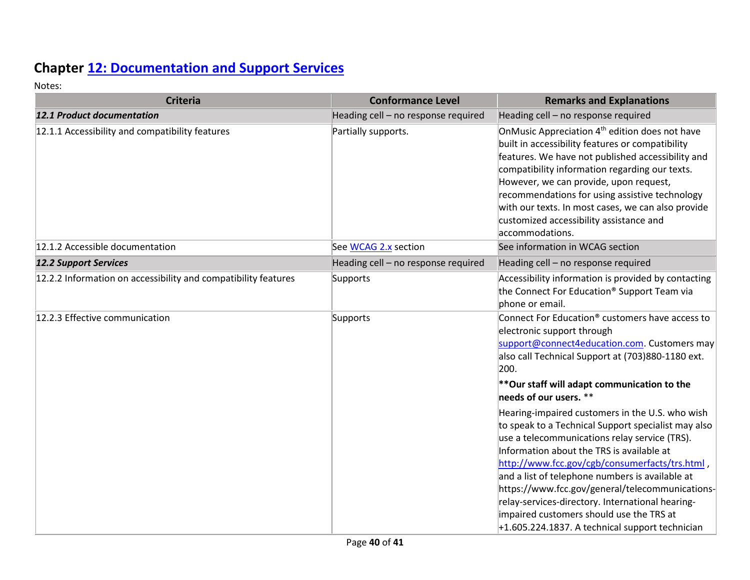## **Chapter [12: Documentation and Support Services](http://www.etsi.org/deliver/etsi_en/301500_301599/301549/01.01.02_60/en_301549v010102p.pdf#page=73)**

| <b>Criteria</b>                                                | <b>Conformance Level</b>            | <b>Remarks and Explanations</b>                                                                                                                                                                                                                                                                                                                                                                                                                                                                                                                                                                                                                                                                                                                                                                      |
|----------------------------------------------------------------|-------------------------------------|------------------------------------------------------------------------------------------------------------------------------------------------------------------------------------------------------------------------------------------------------------------------------------------------------------------------------------------------------------------------------------------------------------------------------------------------------------------------------------------------------------------------------------------------------------------------------------------------------------------------------------------------------------------------------------------------------------------------------------------------------------------------------------------------------|
| <b>12.1 Product documentation</b>                              | Heading cell - no response required | Heading cell - no response required                                                                                                                                                                                                                                                                                                                                                                                                                                                                                                                                                                                                                                                                                                                                                                  |
| 12.1.1 Accessibility and compatibility features                | Partially supports.                 | OnMusic Appreciation 4 <sup>th</sup> edition does not have<br>built in accessibility features or compatibility<br>features. We have not published accessibility and<br>compatibility information regarding our texts.<br>However, we can provide, upon request,<br>recommendations for using assistive technology<br>with our texts. In most cases, we can also provide<br>customized accessibility assistance and<br>accommodations.                                                                                                                                                                                                                                                                                                                                                                |
| 12.1.2 Accessible documentation                                | See WCAG 2.x section                | See information in WCAG section                                                                                                                                                                                                                                                                                                                                                                                                                                                                                                                                                                                                                                                                                                                                                                      |
| <b>12.2 Support Services</b>                                   | Heading cell - no response required | Heading cell - no response required                                                                                                                                                                                                                                                                                                                                                                                                                                                                                                                                                                                                                                                                                                                                                                  |
| 12.2.2 Information on accessibility and compatibility features | Supports                            | Accessibility information is provided by contacting<br>the Connect For Education® Support Team via<br>phone or email.                                                                                                                                                                                                                                                                                                                                                                                                                                                                                                                                                                                                                                                                                |
| 12.2.3 Effective communication                                 | Supports                            | Connect For Education <sup>®</sup> customers have access to<br>electronic support through<br>support@connect4education.com Customers may<br>also call Technical Support at (703)880-1180 ext.<br>200.<br>**Our staff will adapt communication to the<br>needs of our users. **<br>Hearing-impaired customers in the U.S. who wish<br>to speak to a Technical Support specialist may also<br>use a telecommunications relay service (TRS).<br>Information about the TRS is available at<br>http://www.fcc.gov/cgb/consumerfacts/trs.html,<br>and a list of telephone numbers is available at<br>https://www.fcc.gov/general/telecommunications-<br>relay-services-directory. International hearing-<br>impaired customers should use the TRS at<br>$+1.605.224.1837$ . A technical support technician |